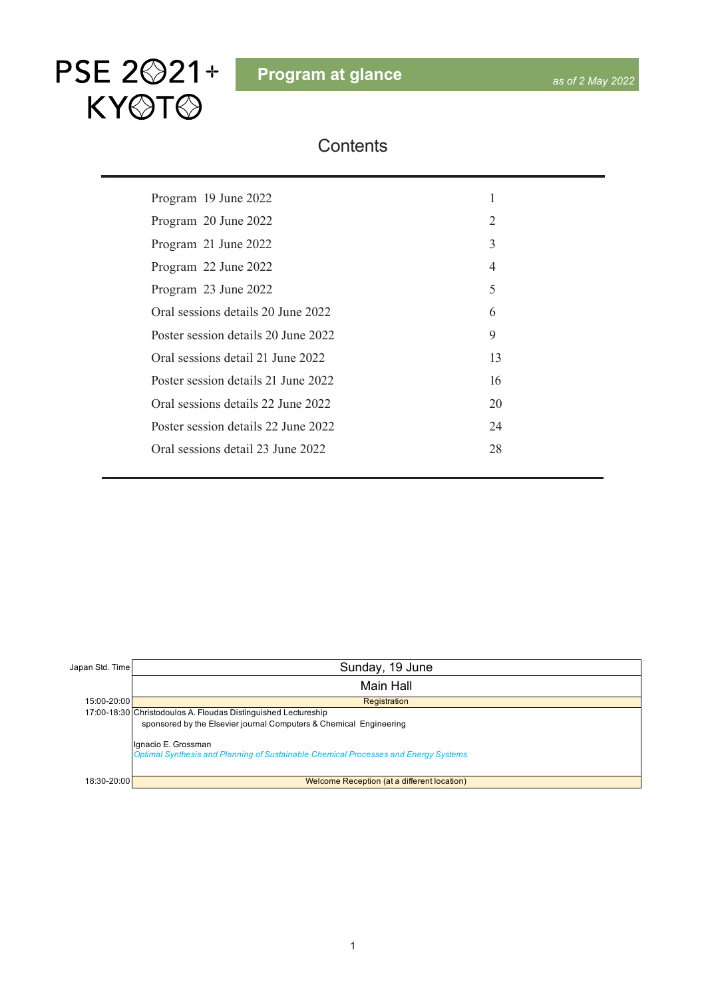

#### **Contents**

| Program 19 June 2022                | 1              |
|-------------------------------------|----------------|
| Program 20 June 2022                | 2              |
| Program 21 June 2022                | 3              |
| Program 22 June 2022                | $\overline{4}$ |
| Program 23 June 2022                | 5              |
| Oral sessions details 20 June 2022  | 6              |
| Poster session details 20 June 2022 | 9              |
| Oral sessions detail 21 June 2022   | 13             |
| Poster session details 21 June 2022 | 16             |
| Oral sessions details 22 June 2022  | 20             |
| Poster session details 22 June 2022 | 24             |
| Oral sessions detail 23 June 2022   | 28             |
|                                     |                |

| Japan Std. Time                                                | Sunday, 19 June                                                                                            |  |  |  |  |  |
|----------------------------------------------------------------|------------------------------------------------------------------------------------------------------------|--|--|--|--|--|
|                                                                | <b>Main Hall</b>                                                                                           |  |  |  |  |  |
| 15:00-20:00                                                    | Registration                                                                                               |  |  |  |  |  |
| 17:00-18:30 Christodoulos A. Floudas Distinguished Lectureship |                                                                                                            |  |  |  |  |  |
|                                                                | sponsored by the Elsevier journal Computers & Chemical Engineering                                         |  |  |  |  |  |
|                                                                | Ignacio E. Grossman<br>Optimal Synthesis and Planning of Sustainable Chemical Processes and Energy Systems |  |  |  |  |  |
| 18:30-20:00                                                    | Welcome Reception (at a different location)                                                                |  |  |  |  |  |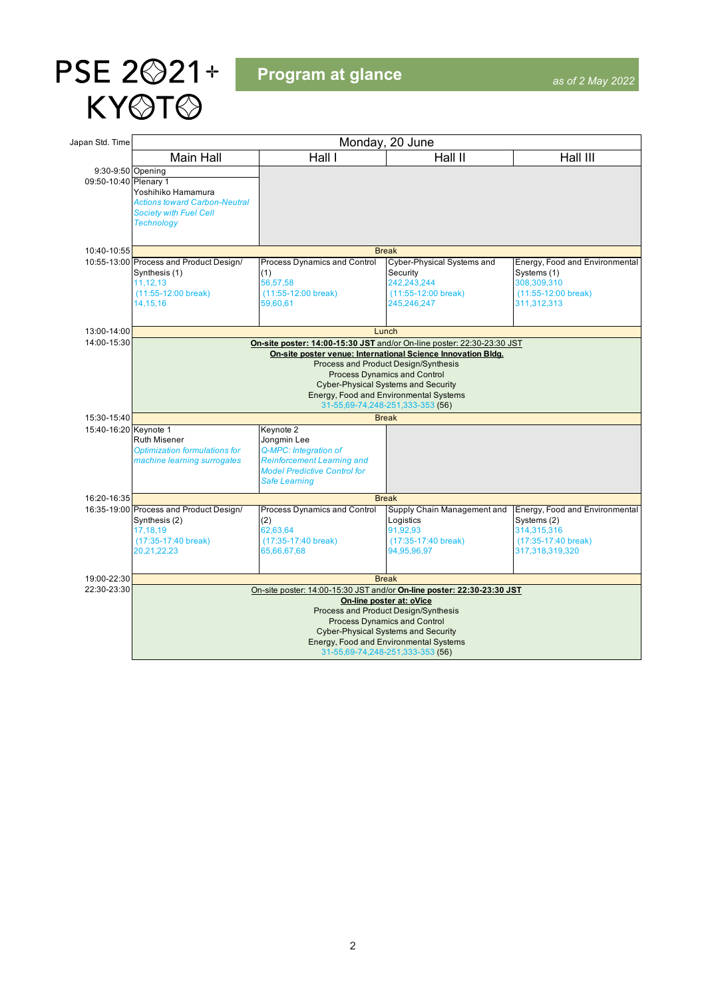<span id="page-1-0"></span>

**Program at glance**

| Japan Std. Time                            | Monday, 20 June                                                                                                                                                                                                                                                                                                                                   |                                                                                                                                                       |                                                                                                                                                                                                                                            |                                                                                                        |  |  |  |
|--------------------------------------------|---------------------------------------------------------------------------------------------------------------------------------------------------------------------------------------------------------------------------------------------------------------------------------------------------------------------------------------------------|-------------------------------------------------------------------------------------------------------------------------------------------------------|--------------------------------------------------------------------------------------------------------------------------------------------------------------------------------------------------------------------------------------------|--------------------------------------------------------------------------------------------------------|--|--|--|
|                                            | <b>Main Hall</b>                                                                                                                                                                                                                                                                                                                                  | Hall I                                                                                                                                                | Hall II                                                                                                                                                                                                                                    | Hall III                                                                                               |  |  |  |
| 9:30-9:50 Opening<br>09:50-10:40 Plenary 1 | Yoshihiko Hamamura<br><b>Actions toward Carbon-Neutral</b><br><b>Society with Fuel Cell</b><br><b>Technology</b>                                                                                                                                                                                                                                  |                                                                                                                                                       |                                                                                                                                                                                                                                            |                                                                                                        |  |  |  |
| 10:40-10:55                                |                                                                                                                                                                                                                                                                                                                                                   |                                                                                                                                                       | <b>Break</b>                                                                                                                                                                                                                               |                                                                                                        |  |  |  |
|                                            | 10:55-13:00 Process and Product Design/<br>Synthesis (1)<br>11,12,13<br>$(11:55-12:00$ break)<br>14.15.16                                                                                                                                                                                                                                         | <b>Process Dynamics and Control</b><br>(1)<br>56,57,58<br>(11:55-12:00 break)<br>59.60.61                                                             | Cyber-Physical Systems and<br>Security<br>242,243,244<br>$(11:55-12:00$ break)<br>245,246,247                                                                                                                                              | Energy, Food and Environmental<br>Systems (1)<br>308,309,310<br>$(11:55-12:00$ break)<br>311,312,313   |  |  |  |
| 13:00-14:00                                |                                                                                                                                                                                                                                                                                                                                                   |                                                                                                                                                       | Lunch                                                                                                                                                                                                                                      |                                                                                                        |  |  |  |
| 14:00-15:30                                | On-site poster: 14:00-15:30 JST and/or On-line poster: 22:30-23:30 JST<br>On-site poster venue: International Science Innovation Bldg.<br>Process and Product Design/Synthesis<br><b>Process Dynamics and Control</b><br><b>Cyber-Physical Systems and Security</b><br>Energy, Food and Environmental Systems<br>31-55,69-74,248-251,333-353 (56) |                                                                                                                                                       |                                                                                                                                                                                                                                            |                                                                                                        |  |  |  |
| 15:30-15:40                                | <b>Break</b>                                                                                                                                                                                                                                                                                                                                      |                                                                                                                                                       |                                                                                                                                                                                                                                            |                                                                                                        |  |  |  |
| 15:40-16:20 Keynote 1                      | <b>Ruth Misener</b><br>Optimization formulations for<br>machine learning surrogates                                                                                                                                                                                                                                                               | Keynote 2<br>Jongmin Lee<br>Q-MPC: Integration of<br><b>Reinforcement Learning and</b><br><b>Model Predictive Control for</b><br><b>Safe Learning</b> |                                                                                                                                                                                                                                            |                                                                                                        |  |  |  |
| 16:20-16:35                                |                                                                                                                                                                                                                                                                                                                                                   |                                                                                                                                                       | <b>Break</b>                                                                                                                                                                                                                               |                                                                                                        |  |  |  |
|                                            | 16:35-19:00 Process and Product Design/<br>Synthesis (2)<br>17,18,19<br>(17:35-17:40 break)<br>20,21,22,23                                                                                                                                                                                                                                        | Process Dynamics and Control<br>(2)<br>62,63,64<br>(17:35-17:40 break)<br>65,66,67,68                                                                 | Supply Chain Management and<br>Logistics<br>91,92,93<br>(17:35-17:40 break)<br>94,95,96,97                                                                                                                                                 | Energy, Food and Environmental<br>Systems (2)<br>314,315,316<br>(17:35-17:40 break)<br>317,318,319,320 |  |  |  |
| 19:00-22:30                                |                                                                                                                                                                                                                                                                                                                                                   |                                                                                                                                                       | <b>Break</b>                                                                                                                                                                                                                               |                                                                                                        |  |  |  |
| 22:30-23:30                                |                                                                                                                                                                                                                                                                                                                                                   | On-site poster: 14:00-15:30 JST and/or On-line poster: 22:30-23:30 JST                                                                                |                                                                                                                                                                                                                                            |                                                                                                        |  |  |  |
|                                            |                                                                                                                                                                                                                                                                                                                                                   |                                                                                                                                                       | On-line poster at: oVice<br><b>Process and Product Design/Synthesis</b><br><b>Process Dynamics and Control</b><br><b>Cyber-Physical Systems and Security</b><br>Energy, Food and Environmental Systems<br>31-55,69-74,248-251,333-353 (56) |                                                                                                        |  |  |  |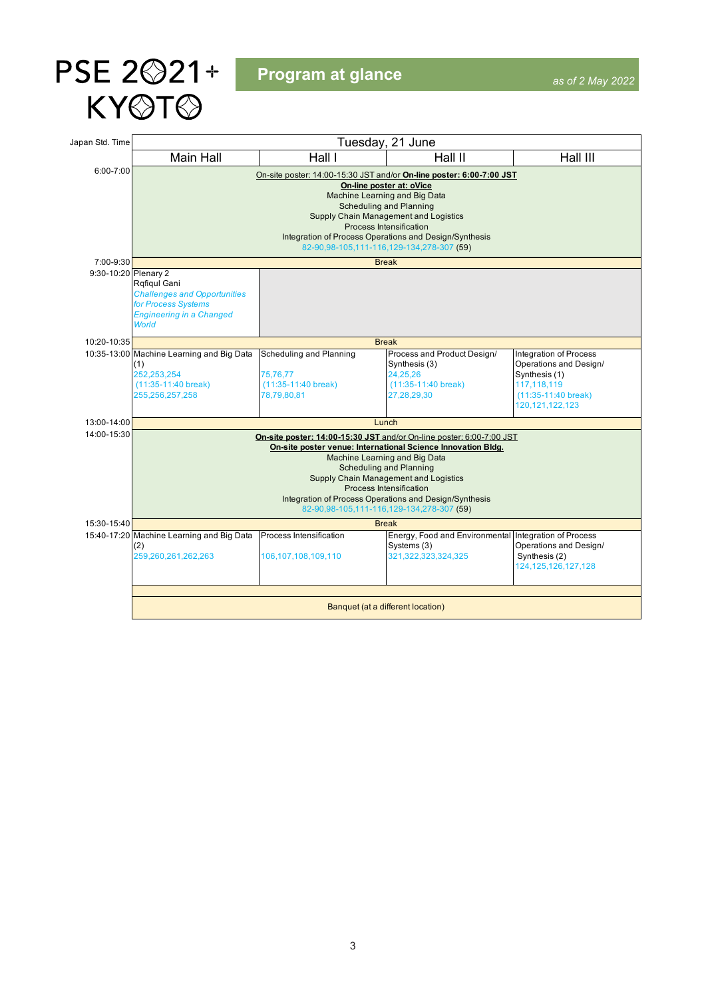<span id="page-2-0"></span>

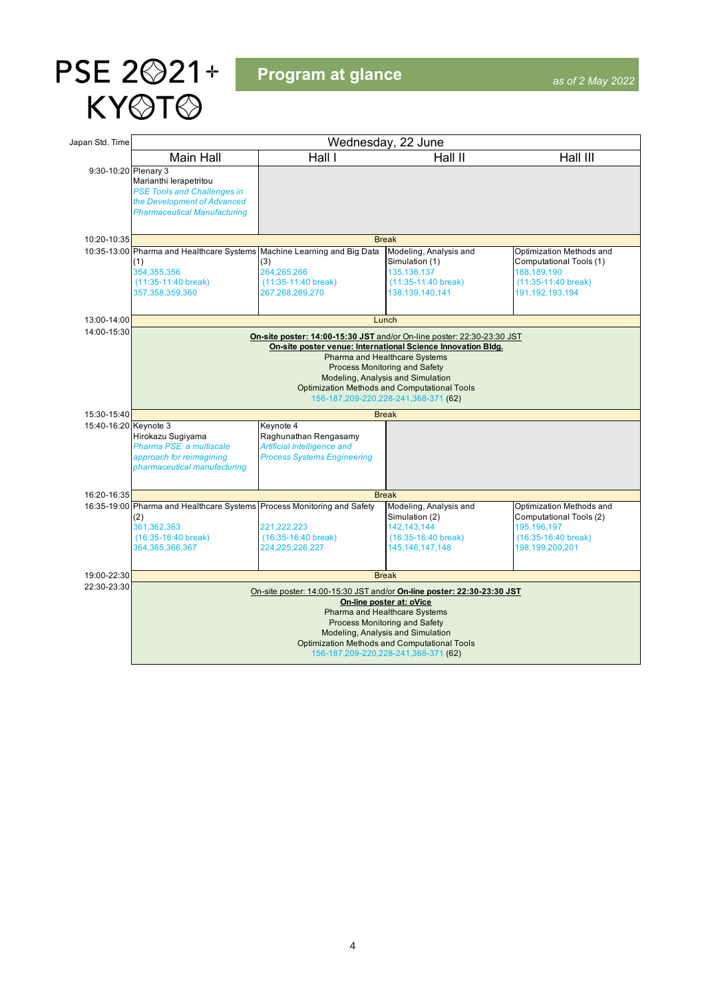<span id="page-3-0"></span>

**Program at glance**

| Japan Std. Time       | Wednesday, 22 June                                                                                                                                                                                                                                                                                                                              |                                                                                                         |                                                                                                                                                                                                                            |                                                                                                                        |  |  |  |
|-----------------------|-------------------------------------------------------------------------------------------------------------------------------------------------------------------------------------------------------------------------------------------------------------------------------------------------------------------------------------------------|---------------------------------------------------------------------------------------------------------|----------------------------------------------------------------------------------------------------------------------------------------------------------------------------------------------------------------------------|------------------------------------------------------------------------------------------------------------------------|--|--|--|
|                       | <b>Main Hall</b>                                                                                                                                                                                                                                                                                                                                | Hall I                                                                                                  | Hall II                                                                                                                                                                                                                    | Hall III                                                                                                               |  |  |  |
| 9:30-10:20 Plenary 3  | Marianthi lerapetritou<br><b>PSE Tools and Challenges in</b><br>the Development of Advanced<br><b>Pharmaceutical Manufacturing</b>                                                                                                                                                                                                              |                                                                                                         |                                                                                                                                                                                                                            |                                                                                                                        |  |  |  |
| 10:20-10:35           |                                                                                                                                                                                                                                                                                                                                                 |                                                                                                         | <b>Break</b>                                                                                                                                                                                                               |                                                                                                                        |  |  |  |
|                       | 10:35-13:00 Pharma and Healthcare Systems Machine Learning and Big Data<br>(1)<br>354,355,356<br>$(11:35-11:40$ break)<br>357,358,359,360                                                                                                                                                                                                       | (3)<br>264,265,266<br>$(11:35-11:40$ break)<br>267,268,269,270                                          | Modeling, Analysis and<br>Simulation (1)<br>135, 136, 137<br>$(11:35-11:40$ break)<br>138,139,140,141                                                                                                                      | Optimization Methods and<br>Computational Tools (1)<br>188,189,190<br>$(11:35-11:40$ break)<br>191,192,193,194         |  |  |  |
| 13:00-14:00           |                                                                                                                                                                                                                                                                                                                                                 |                                                                                                         | Lunch                                                                                                                                                                                                                      |                                                                                                                        |  |  |  |
| 14:00-15:30           | On-site poster: 14:00-15:30 JST and/or On-line poster: 22:30-23:30 JST<br>On-site poster venue: International Science Innovation Bldg.<br>Pharma and Healthcare Systems<br>Process Monitoring and Safety<br>Modeling, Analysis and Simulation<br><b>Optimization Methods and Computational Tools</b><br>156-187, 209-220, 228-241, 368-371 (62) |                                                                                                         |                                                                                                                                                                                                                            |                                                                                                                        |  |  |  |
| 15:30-15:40           | <b>Break</b>                                                                                                                                                                                                                                                                                                                                    |                                                                                                         |                                                                                                                                                                                                                            |                                                                                                                        |  |  |  |
| 15:40-16:20 Keynote 3 | Hirokazu Sugiyama<br>Pharma PSE: a multiscale<br>approach for reimagining<br>pharmaceutical manufacturing                                                                                                                                                                                                                                       | Keynote 4<br>Raghunathan Rengasamy<br>Artificial Intelligence and<br><b>Process Systems Engineering</b> |                                                                                                                                                                                                                            |                                                                                                                        |  |  |  |
| 16:20-16:35           | <b>Break</b>                                                                                                                                                                                                                                                                                                                                    |                                                                                                         |                                                                                                                                                                                                                            |                                                                                                                        |  |  |  |
|                       | 16:35-19:00 Pharma and Healthcare Systems<br>(2)<br>361,362,363<br>$(16:35-16:40$ break)<br>364,365,366,367                                                                                                                                                                                                                                     | Process Monitoring and Safety<br>221,222,223<br>$(16:35-16:40$ break)<br>224,225,226,227                | Modeling, Analysis and<br>Simulation (2)<br>142,143,144<br>$(16:35-16:40$ break)<br>145,146,147,148                                                                                                                        | Optimization Methods and<br>Computational Tools (2)<br>195,196,197<br>$(16:35-16:40 \text{ break})$<br>198,199,200,201 |  |  |  |
| 19:00-22:30           |                                                                                                                                                                                                                                                                                                                                                 |                                                                                                         | <b>Break</b>                                                                                                                                                                                                               |                                                                                                                        |  |  |  |
| 22:30-23:30           |                                                                                                                                                                                                                                                                                                                                                 | On-site poster: 14:00-15:30 JST and/or On-line poster: 22:30-23:30 JST                                  |                                                                                                                                                                                                                            |                                                                                                                        |  |  |  |
|                       |                                                                                                                                                                                                                                                                                                                                                 |                                                                                                         | On-line poster at: oVice<br>Pharma and Healthcare Systems<br>Process Monitoring and Safety<br>Modeling, Analysis and Simulation<br>Optimization Methods and Computational Tools<br>156-187, 209-220, 228-241, 368-371 (62) |                                                                                                                        |  |  |  |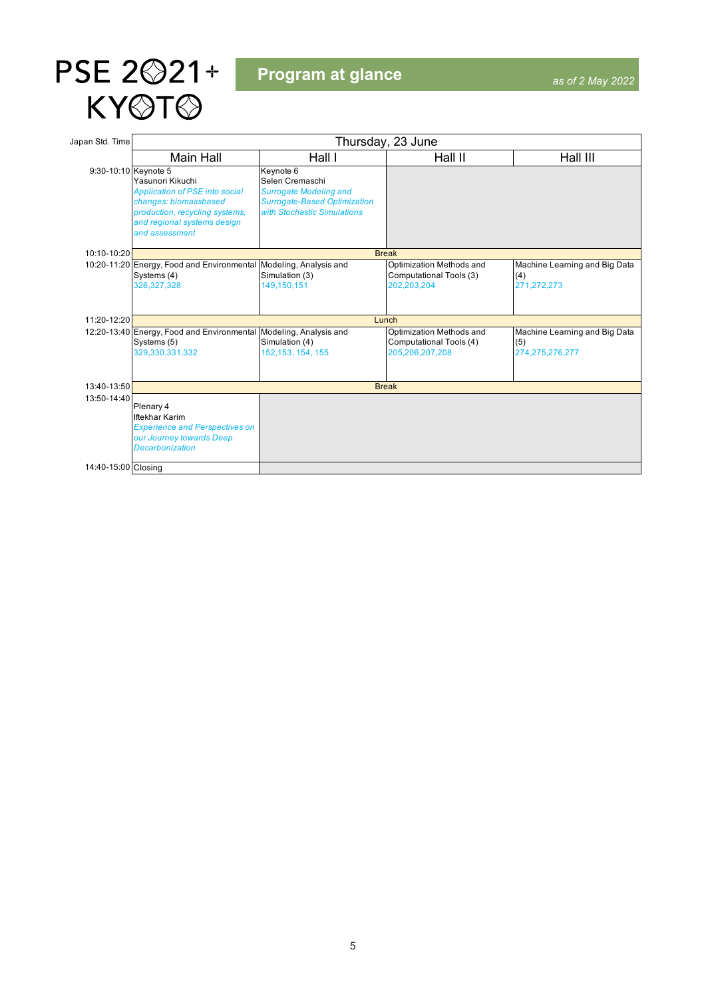<span id="page-4-0"></span>

| Japan Std. Time      | Thursday, 23 June                                                                                                                                                     |                                                                                                                                     |                                                                        |                                                            |  |  |  |  |
|----------------------|-----------------------------------------------------------------------------------------------------------------------------------------------------------------------|-------------------------------------------------------------------------------------------------------------------------------------|------------------------------------------------------------------------|------------------------------------------------------------|--|--|--|--|
|                      | Main Hall                                                                                                                                                             | Hall I                                                                                                                              | Hall II                                                                | Hall III                                                   |  |  |  |  |
| 9:30-10:10 Keynote 5 | Yasunori Kikuchi<br><b>Application of PSE into social</b><br>changes: biomassbased<br>production, recycling systems,<br>and regional systems design<br>and assessment | Keynote 6<br>Selen Cremaschi<br><b>Surrogate Modeling and</b><br><b>Surrogate-Based Optimization</b><br>with Stochastic Simulations |                                                                        |                                                            |  |  |  |  |
| 10:10-10:20          |                                                                                                                                                                       | <b>Break</b>                                                                                                                        |                                                                        |                                                            |  |  |  |  |
|                      | 10:20-11:20 Energy, Food and Environmental Modeling, Analysis and<br>Systems (4)<br>326, 327, 328                                                                     | Simulation (3)<br>149,150,151                                                                                                       | Optimization Methods and<br>Computational Tools (3)<br>202,203,204     | Machine Learning and Big Data<br>(4)<br>271,272,273        |  |  |  |  |
| 11:20-12:20          | Lunch                                                                                                                                                                 |                                                                                                                                     |                                                                        |                                                            |  |  |  |  |
|                      | 12:20-13:40 Energy, Food and Environmental Modeling, Analysis and<br>Systems (5)<br>329,330,331,332                                                                   | Simulation (4)<br>152, 153, 154, 155                                                                                                | Optimization Methods and<br>Computational Tools (4)<br>205,206,207,208 | Machine Learning and Big Data<br>(5)<br>274, 275, 276, 277 |  |  |  |  |
| 13:40-13:50          | <b>Break</b>                                                                                                                                                          |                                                                                                                                     |                                                                        |                                                            |  |  |  |  |
| 13:50-14:40          | Plenary 4<br><b>Iftekhar Karim</b><br><b>Experience and Perspectives on</b><br>our Journey towards Deep<br><b>Decarbonization</b>                                     |                                                                                                                                     |                                                                        |                                                            |  |  |  |  |
| 14:40-15:00 Closing  |                                                                                                                                                                       |                                                                                                                                     |                                                                        |                                                            |  |  |  |  |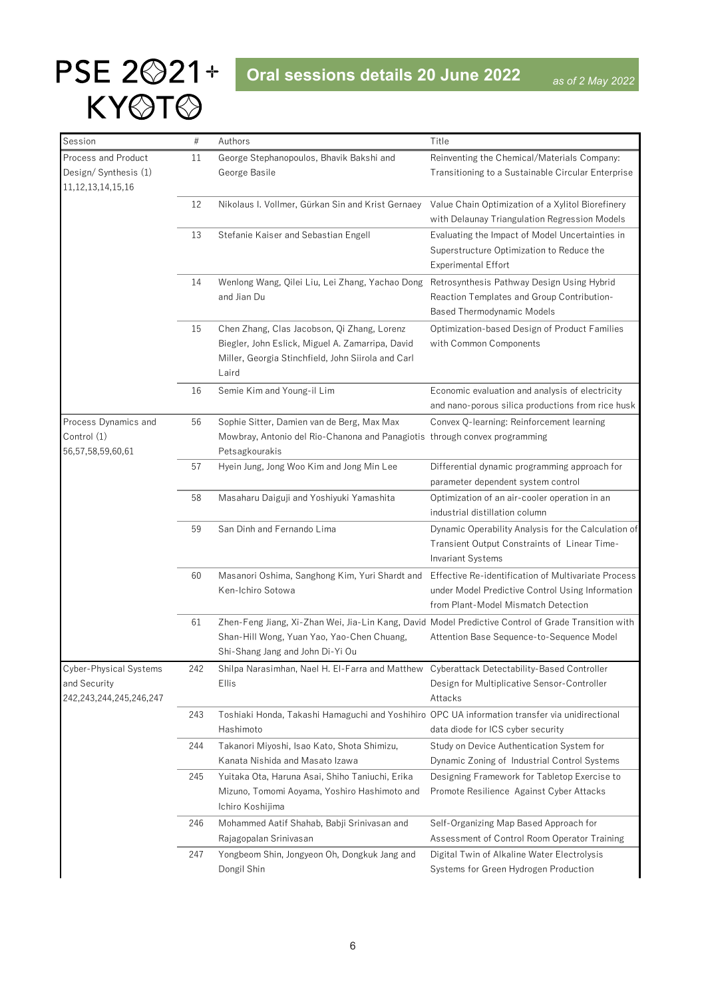# <span id="page-5-0"></span>PSE 2<sup> $221+$ </sup> Oral sessions details 20 June 2022 KY@T@

| Session                                      | #   | Authors                                                                                                     | Title                                               |
|----------------------------------------------|-----|-------------------------------------------------------------------------------------------------------------|-----------------------------------------------------|
| Process and Product                          | 11  | George Stephanopoulos, Bhavik Bakshi and                                                                    | Reinventing the Chemical/Materials Company:         |
| Design/Synthesis (1)                         |     | George Basile                                                                                               | Transitioning to a Sustainable Circular Enterprise  |
| 11, 12, 13, 14, 15, 16                       |     |                                                                                                             |                                                     |
|                                              | 12  | Nikolaus I. Vollmer, Gürkan Sin and Krist Gernaey                                                           | Value Chain Optimization of a Xylitol Biorefinery   |
|                                              |     |                                                                                                             | with Delaunay Triangulation Regression Models       |
|                                              | 13  | Stefanie Kaiser and Sebastian Engell                                                                        | Evaluating the Impact of Model Uncertainties in     |
|                                              |     |                                                                                                             | Superstructure Optimization to Reduce the           |
|                                              |     |                                                                                                             | <b>Experimental Effort</b>                          |
|                                              | 14  | Wenlong Wang, Qilei Liu, Lei Zhang, Yachao Dong                                                             | Retrosynthesis Pathway Design Using Hybrid          |
|                                              |     | and Jian Du                                                                                                 | Reaction Templates and Group Contribution-          |
|                                              |     |                                                                                                             | <b>Based Thermodynamic Models</b>                   |
|                                              | 15  | Chen Zhang, Clas Jacobson, Qi Zhang, Lorenz                                                                 | Optimization-based Design of Product Families       |
|                                              |     | Biegler, John Eslick, Miguel A. Zamarripa, David                                                            | with Common Components                              |
|                                              |     | Miller, Georgia Stinchfield, John Siirola and Carl                                                          |                                                     |
|                                              |     | Laird                                                                                                       |                                                     |
|                                              | 16  | Semie Kim and Young-il Lim                                                                                  | Economic evaluation and analysis of electricity     |
|                                              |     |                                                                                                             | and nano-porous silica productions from rice husk   |
| Process Dynamics and                         | 56  | Sophie Sitter, Damien van de Berg, Max Max                                                                  | Convex Q-learning: Reinforcement learning           |
| Control (1)                                  |     | Mowbray, Antonio del Rio-Chanona and Panagiotis through convex programming                                  |                                                     |
| 56,57,58,59,60,61                            |     | Petsagkourakis                                                                                              |                                                     |
|                                              | 57  | Hyein Jung, Jong Woo Kim and Jong Min Lee                                                                   | Differential dynamic programming approach for       |
|                                              |     |                                                                                                             | parameter dependent system control                  |
|                                              | 58  | Masaharu Daiguji and Yoshiyuki Yamashita                                                                    | Optimization of an air-cooler operation in an       |
|                                              |     |                                                                                                             | industrial distillation column                      |
|                                              | 59  | San Dinh and Fernando Lima                                                                                  | Dynamic Operability Analysis for the Calculation of |
|                                              |     |                                                                                                             | Transient Output Constraints of Linear Time-        |
|                                              |     |                                                                                                             | <b>Invariant Systems</b>                            |
|                                              | 60  | Masanori Oshima, Sanghong Kim, Yuri Shardt and                                                              | Effective Re-identification of Multivariate Process |
|                                              |     | Ken-Ichiro Sotowa                                                                                           | under Model Predictive Control Using Information    |
|                                              |     |                                                                                                             | from Plant-Model Mismatch Detection                 |
|                                              | 61  | Zhen-Feng Jiang, Xi-Zhan Wei, Jia-Lin Kang, David Model Predictive Control of Grade Transition with         |                                                     |
|                                              |     | Shan-Hill Wong, Yuan Yao, Yao-Chen Chuang,                                                                  | Attention Base Sequence-to-Sequence Model           |
|                                              |     | Shi-Shang Jang and John Di-Yi Ou                                                                            |                                                     |
| Cyber-Physical Systems                       | 242 | Shilpa Narasimhan, Nael H. El-Farra and Matthew Cyberattack Detectability-Based Controller                  |                                                     |
| and Security<br>242, 243, 244, 245, 246, 247 |     | Ellis                                                                                                       | Design for Multiplicative Sensor-Controller         |
|                                              |     |                                                                                                             | Attacks                                             |
|                                              | 243 | Toshiaki Honda, Takashi Hamaguchi and Yoshihiro OPC UA information transfer via unidirectional<br>Hashimoto | data diode for ICS cyber security                   |
|                                              |     |                                                                                                             | Study on Device Authentication System for           |
|                                              | 244 | Takanori Miyoshi, Isao Kato, Shota Shimizu,<br>Kanata Nishida and Masato Izawa                              | Dynamic Zoning of Industrial Control Systems        |
|                                              |     |                                                                                                             | Designing Framework for Tabletop Exercise to        |
|                                              | 245 | Yuitaka Ota, Haruna Asai, Shiho Taniuchi, Erika<br>Mizuno, Tomomi Aoyama, Yoshiro Hashimoto and             | Promote Resilience Against Cyber Attacks            |
|                                              |     | Ichiro Koshijima                                                                                            |                                                     |
|                                              |     | Mohammed Aatif Shahab, Babji Srinivasan and                                                                 | Self-Organizing Map Based Approach for              |
|                                              | 246 | Rajagopalan Srinivasan                                                                                      | Assessment of Control Room Operator Training        |
|                                              | 247 | Yongbeom Shin, Jongyeon Oh, Dongkuk Jang and                                                                | Digital Twin of Alkaline Water Electrolysis         |
|                                              |     | Dongil Shin                                                                                                 | Systems for Green Hydrogen Production               |
|                                              |     |                                                                                                             |                                                     |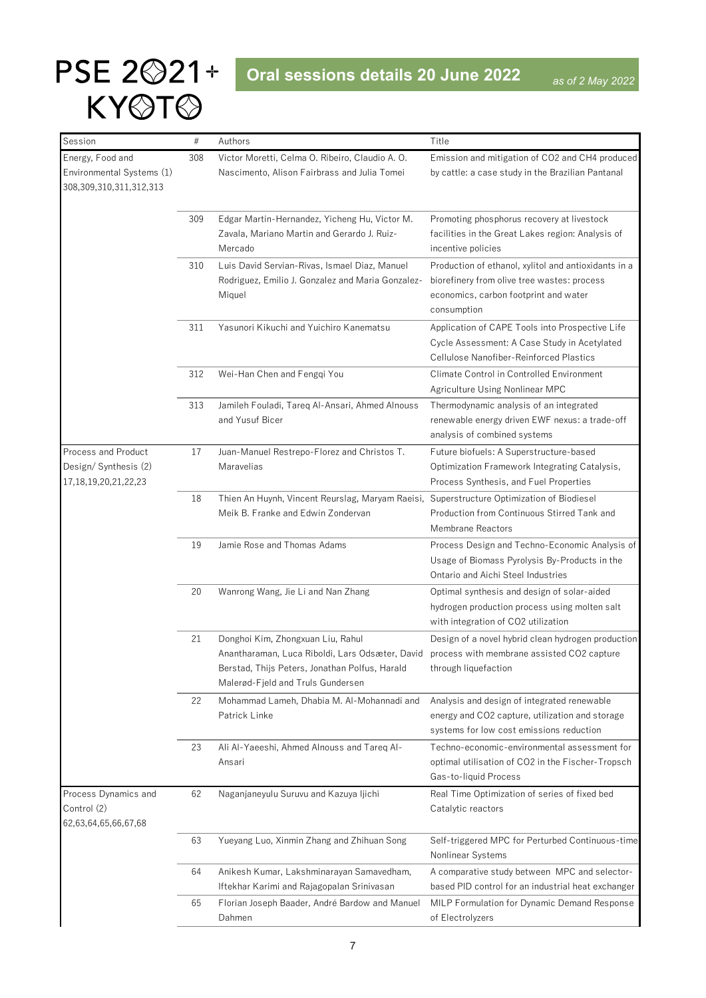| Session                                                                   | $\#$ | Authors                                                                                                                                                                     | Title                                                                                                                                                       |
|---------------------------------------------------------------------------|------|-----------------------------------------------------------------------------------------------------------------------------------------------------------------------------|-------------------------------------------------------------------------------------------------------------------------------------------------------------|
| Energy, Food and<br>Environmental Systems (1)<br>308,309,310,311,312,313  | 308  | Victor Moretti, Celma O. Ribeiro, Claudio A. O.<br>Nascimento, Alison Fairbrass and Julia Tomei                                                                             | Emission and mitigation of CO2 and CH4 produced<br>by cattle: a case study in the Brazilian Pantanal                                                        |
|                                                                           | 309  | Edgar Martin-Hernandez, Yicheng Hu, Victor M.<br>Zavala, Mariano Martin and Gerardo J. Ruiz-<br>Mercado                                                                     | Promoting phosphorus recovery at livestock<br>facilities in the Great Lakes region: Analysis of<br>incentive policies                                       |
|                                                                           | 310  | Luis David Servian-Rivas, Ismael Diaz, Manuel<br>Rodriguez, Emilio J. Gonzalez and Maria Gonzalez-<br>Miquel                                                                | Production of ethanol, xylitol and antioxidants in a<br>biorefinery from olive tree wastes: process<br>economics, carbon footprint and water<br>consumption |
|                                                                           | 311  | Yasunori Kikuchi and Yuichiro Kanematsu                                                                                                                                     | Application of CAPE Tools into Prospective Life<br>Cycle Assessment: A Case Study in Acetylated<br>Cellulose Nanofiber-Reinforced Plastics                  |
|                                                                           | 312  | Wei-Han Chen and Fenggi You                                                                                                                                                 | Climate Control in Controlled Environment<br>Agriculture Using Nonlinear MPC                                                                                |
|                                                                           | 313  | Jamileh Fouladi, Tareg Al-Ansari, Ahmed Alnouss<br>and Yusuf Bicer                                                                                                          | Thermodynamic analysis of an integrated<br>renewable energy driven EWF nexus: a trade-off<br>analysis of combined systems                                   |
| Process and Product<br>Design/Synthesis (2)<br>17, 18, 19, 20, 21, 22, 23 | 17   | Juan-Manuel Restrepo-Florez and Christos T.<br>Maravelias                                                                                                                   | Future biofuels: A Superstructure-based<br>Optimization Framework Integrating Catalysis,<br>Process Synthesis, and Fuel Properties                          |
|                                                                           | 18   | Thien An Huynh, Vincent Reurslag, Maryam Raeisi,<br>Meik B. Franke and Edwin Zondervan                                                                                      | Superstructure Optimization of Biodiesel<br>Production from Continuous Stirred Tank and<br><b>Membrane Reactors</b>                                         |
|                                                                           | 19   | Jamie Rose and Thomas Adams                                                                                                                                                 | Process Design and Techno-Economic Analysis of<br>Usage of Biomass Pyrolysis By-Products in the<br>Ontario and Aichi Steel Industries                       |
|                                                                           | 20   | Wanrong Wang, Jie Li and Nan Zhang                                                                                                                                          | Optimal synthesis and design of solar-aided<br>hydrogen production process using molten salt<br>with integration of CO2 utilization                         |
|                                                                           | 21   | Donghoi Kim, Zhongxuan Liu, Rahul<br>Anantharaman, Luca Riboldi, Lars Odsæter, David<br>Berstad, Thijs Peters, Jonathan Polfus, Harald<br>Malerød-Fjeld and Truls Gundersen | Design of a novel hybrid clean hydrogen production<br>process with membrane assisted CO2 capture<br>through liquefaction                                    |
|                                                                           | 22   | Mohammad Lameh, Dhabia M. Al-Mohannadi and<br>Patrick Linke                                                                                                                 | Analysis and design of integrated renewable<br>energy and CO2 capture, utilization and storage<br>systems for low cost emissions reduction                  |
|                                                                           | 23   | Ali Al-Yaeeshi, Ahmed Alnouss and Tareq Al-<br>Ansari                                                                                                                       | Techno-economic-environmental assessment for<br>optimal utilisation of CO2 in the Fischer-Tropsch<br>Gas-to-liquid Process                                  |
| Process Dynamics and<br>Control (2)<br>62,63,64,65,66,67,68               | 62   | Naganjaneyulu Suruvu and Kazuya Ijichi                                                                                                                                      | Real Time Optimization of series of fixed bed<br>Catalytic reactors                                                                                         |
|                                                                           | 63   | Yueyang Luo, Xinmin Zhang and Zhihuan Song                                                                                                                                  | Self-triggered MPC for Perturbed Continuous-time<br>Nonlinear Systems                                                                                       |
|                                                                           | 64   | Anikesh Kumar, Lakshminarayan Samavedham,<br>Iftekhar Karimi and Rajagopalan Srinivasan                                                                                     | A comparative study between MPC and selector-<br>based PID control for an industrial heat exchanger                                                         |
|                                                                           | 65   | Florian Joseph Baader, André Bardow and Manuel<br>Dahmen                                                                                                                    | MILP Formulation for Dynamic Demand Response<br>of Electrolyzers                                                                                            |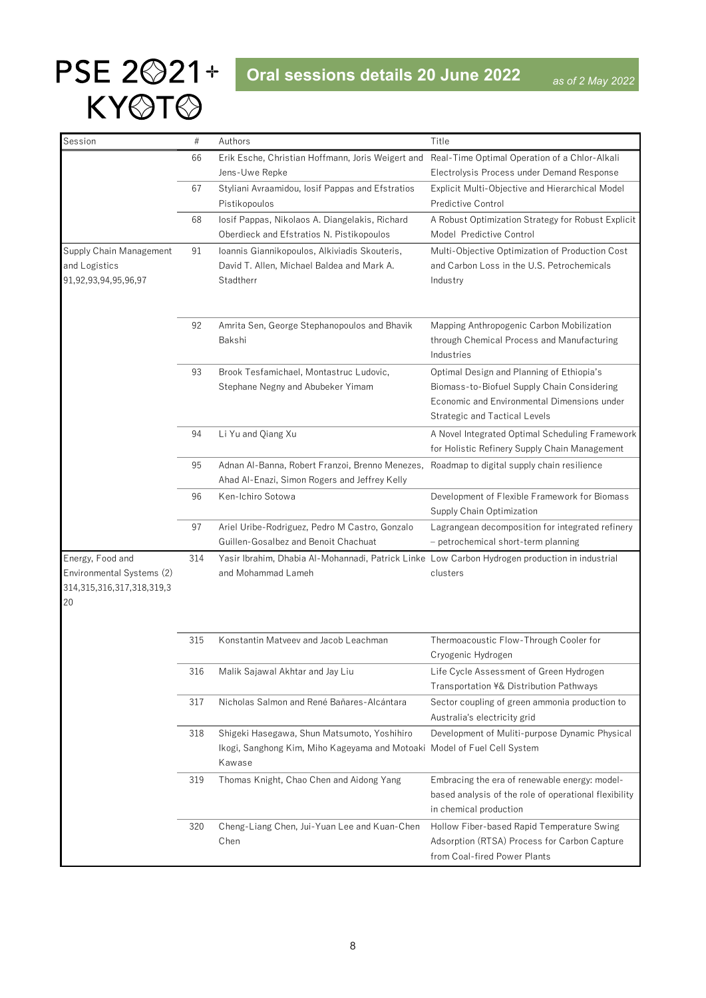| Session                               | #   | Authors                                                                                        | Title                                                                              |
|---------------------------------------|-----|------------------------------------------------------------------------------------------------|------------------------------------------------------------------------------------|
|                                       | 66  | Erik Esche, Christian Hoffmann, Joris Weigert and                                              | Real-Time Optimal Operation of a Chlor-Alkali                                      |
|                                       |     | Jens-Uwe Repke                                                                                 | Electrolysis Process under Demand Response                                         |
|                                       | 67  | Styliani Avraamidou, losif Pappas and Efstratios                                               | Explicit Multi-Objective and Hierarchical Model                                    |
|                                       |     | Pistikopoulos                                                                                  | <b>Predictive Control</b>                                                          |
|                                       | 68  | losif Pappas, Nikolaos A. Diangelakis, Richard                                                 | A Robust Optimization Strategy for Robust Explicit                                 |
|                                       |     | Oberdieck and Efstratios N. Pistikopoulos                                                      | Model Predictive Control                                                           |
| Supply Chain Management               | 91  | Ioannis Giannikopoulos, Alkiviadis Skouteris,                                                  | Multi-Objective Optimization of Production Cost                                    |
| and Logistics                         |     | David T. Allen, Michael Baldea and Mark A.                                                     | and Carbon Loss in the U.S. Petrochemicals                                         |
| 91,92,93,94,95,96,97                  |     | Stadtherr                                                                                      | Industry                                                                           |
|                                       |     |                                                                                                |                                                                                    |
|                                       | 92  | Amrita Sen, George Stephanopoulos and Bhavik                                                   | Mapping Anthropogenic Carbon Mobilization                                          |
|                                       |     | Bakshi                                                                                         | through Chemical Process and Manufacturing                                         |
|                                       |     |                                                                                                | Industries                                                                         |
|                                       | 93  | Brook Tesfamichael, Montastruc Ludovic,                                                        | Optimal Design and Planning of Ethiopia's                                          |
|                                       |     | Stephane Negny and Abubeker Yimam                                                              | Biomass-to-Biofuel Supply Chain Considering                                        |
|                                       |     |                                                                                                | Economic and Environmental Dimensions under                                        |
|                                       |     |                                                                                                | <b>Strategic and Tactical Levels</b>                                               |
|                                       | 94  | Li Yu and Qiang Xu                                                                             | A Novel Integrated Optimal Scheduling Framework                                    |
|                                       |     |                                                                                                | for Holistic Refinery Supply Chain Management                                      |
|                                       | 95  | Adnan Al-Banna, Robert Franzoi, Brenno Menezes,                                                | Roadmap to digital supply chain resilience                                         |
|                                       |     | Ahad Al-Enazi, Simon Rogers and Jeffrey Kelly                                                  |                                                                                    |
|                                       | 96  | Ken-Ichiro Sotowa                                                                              | Development of Flexible Framework for Biomass                                      |
|                                       |     |                                                                                                | Supply Chain Optimization                                                          |
|                                       | 97  | Ariel Uribe-Rodriguez, Pedro M Castro, Gonzalo                                                 | Lagrangean decomposition for integrated refinery                                   |
|                                       |     | Guillen-Gosalbez and Benoit Chachuat                                                           | - petrochemical short-term planning                                                |
| Energy, Food and                      | 314 | Yasir Ibrahim, Dhabia Al-Mohannadi, Patrick Linke Low Carbon Hydrogen production in industrial |                                                                                    |
| Environmental Systems (2)             |     | and Mohammad Lameh                                                                             | clusters                                                                           |
| 314, 315, 316, 317, 318, 319, 3<br>20 |     |                                                                                                |                                                                                    |
|                                       |     |                                                                                                |                                                                                    |
|                                       |     |                                                                                                |                                                                                    |
|                                       | 315 | Konstantin Matveev and Jacob Leachman                                                          | Thermoacoustic Flow-Through Cooler for                                             |
|                                       |     |                                                                                                | Cryogenic Hydrogen                                                                 |
|                                       | 316 | Malik Sajawal Akhtar and Jay Liu                                                               | Life Cycle Assessment of Green Hydrogen<br>Transportation ¥& Distribution Pathways |
|                                       | 317 | Nicholas Salmon and René Bañares-Alcántara                                                     | Sector coupling of green ammonia production to                                     |
|                                       |     |                                                                                                | Australia's electricity grid                                                       |
|                                       | 318 | Shigeki Hasegawa, Shun Matsumoto, Yoshihiro                                                    | Development of Muliti-purpose Dynamic Physical                                     |
|                                       |     | Ikogi, Sanghong Kim, Miho Kageyama and Motoaki Model of Fuel Cell System                       |                                                                                    |
|                                       |     | Kawase                                                                                         |                                                                                    |
|                                       | 319 | Thomas Knight, Chao Chen and Aidong Yang                                                       | Embracing the era of renewable energy: model-                                      |
|                                       |     |                                                                                                | based analysis of the role of operational flexibility                              |
|                                       |     |                                                                                                | in chemical production                                                             |
|                                       | 320 | Cheng-Liang Chen, Jui-Yuan Lee and Kuan-Chen                                                   | Hollow Fiber-based Rapid Temperature Swing                                         |
|                                       |     | Chen                                                                                           | Adsorption (RTSA) Process for Carbon Capture                                       |
|                                       |     |                                                                                                | from Coal-fired Power Plants                                                       |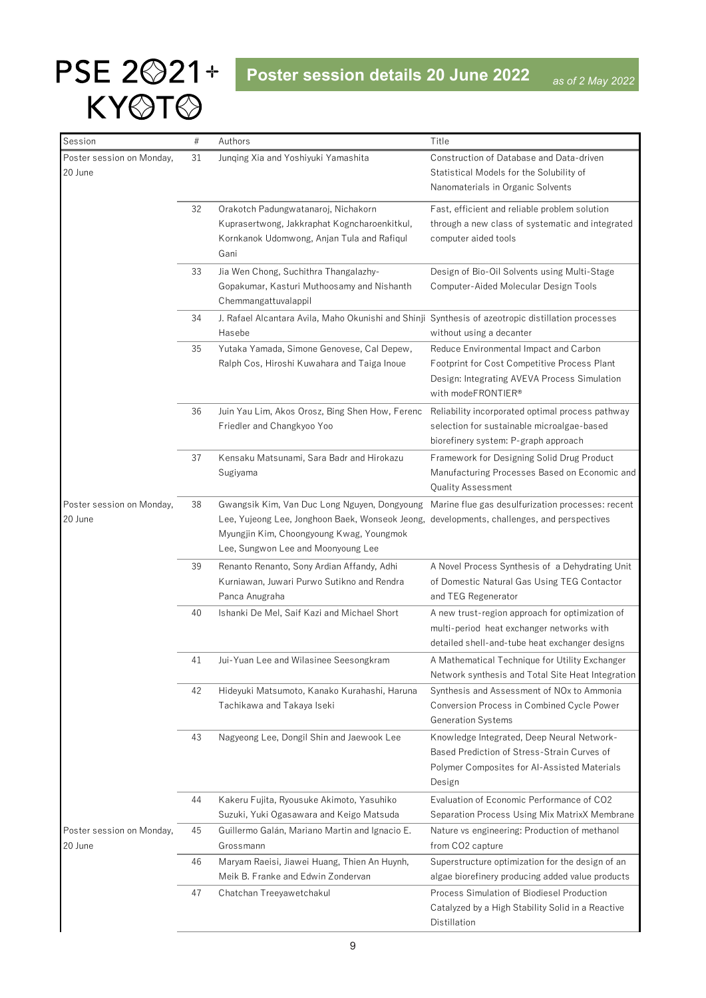<span id="page-8-0"></span>

| Session                              | $\#$ | Authors                                                                                                                                                                           | Title                                                                                                                                                        |
|--------------------------------------|------|-----------------------------------------------------------------------------------------------------------------------------------------------------------------------------------|--------------------------------------------------------------------------------------------------------------------------------------------------------------|
| Poster session on Monday,<br>20 June | 31   | Junqing Xia and Yoshiyuki Yamashita                                                                                                                                               | Construction of Database and Data-driven<br>Statistical Models for the Solubility of<br>Nanomaterials in Organic Solvents                                    |
|                                      | 32   | Orakotch Padungwatanaroj, Nichakorn<br>Kuprasertwong, Jakkraphat Kogncharoenkitkul,<br>Kornkanok Udomwong, Anjan Tula and Rafiqul<br>Gani                                         | Fast, efficient and reliable problem solution<br>through a new class of systematic and integrated<br>computer aided tools                                    |
|                                      | 33   | Jia Wen Chong, Suchithra Thangalazhy-<br>Gopakumar, Kasturi Muthoosamy and Nishanth<br>Chemmangattuvalappil                                                                       | Design of Bio-Oil Solvents using Multi-Stage<br>Computer-Aided Molecular Design Tools                                                                        |
|                                      | 34   | J. Rafael Alcantara Avila, Maho Okunishi and Shinji Synthesis of azeotropic distillation processes<br>Hasebe                                                                      | without using a decanter                                                                                                                                     |
|                                      | 35   | Yutaka Yamada, Simone Genovese, Cal Depew,<br>Ralph Cos, Hiroshi Kuwahara and Taiga Inoue                                                                                         | Reduce Environmental Impact and Carbon<br>Footprint for Cost Competitive Process Plant<br>Design: Integrating AVEVA Process Simulation<br>with modeFRONTIER® |
|                                      | 36   | Juin Yau Lim, Akos Orosz, Bing Shen How, Ferenc<br>Friedler and Changkyoo Yoo                                                                                                     | Reliability incorporated optimal process pathway<br>selection for sustainable microalgae-based<br>biorefinery system: P-graph approach                       |
|                                      | 37   | Kensaku Matsunami, Sara Badr and Hirokazu<br>Sugiyama                                                                                                                             | Framework for Designing Solid Drug Product<br>Manufacturing Processes Based on Economic and<br>Quality Assessment                                            |
| Poster session on Monday,<br>20 June | 38   | Gwangsik Kim, Van Duc Long Nguyen, Dongyoung<br>Lee, Yujeong Lee, Jonghoon Baek, Wonseok Jeong,<br>Myungjin Kim, Choongyoung Kwag, Youngmok<br>Lee, Sungwon Lee and Moonyoung Lee | Marine flue gas desulfurization processes: recent<br>developments, challenges, and perspectives                                                              |
|                                      | 39   | Renanto Renanto, Sony Ardian Affandy, Adhi<br>Kurniawan, Juwari Purwo Sutikno and Rendra<br>Panca Anugraha                                                                        | A Novel Process Synthesis of a Dehydrating Unit<br>of Domestic Natural Gas Using TEG Contactor<br>and TEG Regenerator                                        |
|                                      | 40   | Ishanki De Mel, Saif Kazi and Michael Short                                                                                                                                       | A new trust-region approach for optimization of<br>multi-period heat exchanger networks with<br>detailed shell-and-tube heat exchanger designs               |
|                                      | 41   | Jui-Yuan Lee and Wilasinee Seesongkram                                                                                                                                            | A Mathematical Technique for Utility Exchanger<br>Network synthesis and Total Site Heat Integration                                                          |
|                                      | 42   | Hideyuki Matsumoto, Kanako Kurahashi, Haruna<br>Tachikawa and Takaya Iseki                                                                                                        | Synthesis and Assessment of NO <sub>x</sub> to Ammonia<br>Conversion Process in Combined Cycle Power<br><b>Generation Systems</b>                            |
|                                      | 43   | Nagyeong Lee, Dongil Shin and Jaewook Lee                                                                                                                                         | Knowledge Integrated, Deep Neural Network-<br>Based Prediction of Stress-Strain Curves of<br>Polymer Composites for Al-Assisted Materials<br>Design          |
|                                      | 44   | Kakeru Fujita, Ryousuke Akimoto, Yasuhiko<br>Suzuki, Yuki Ogasawara and Keigo Matsuda                                                                                             | Evaluation of Economic Performance of CO2<br>Separation Process Using Mix MatrixX Membrane                                                                   |
| Poster session on Monday,<br>20 June | 45   | Guillermo Galán, Mariano Martin and Ignacio E.<br>Grossmann                                                                                                                       | Nature vs engineering: Production of methanol<br>from CO <sub>2</sub> capture                                                                                |
|                                      | 46   | Maryam Raeisi, Jiawei Huang, Thien An Huynh,<br>Meik B. Franke and Edwin Zondervan                                                                                                | Superstructure optimization for the design of an<br>algae biorefinery producing added value products                                                         |
|                                      | 47   | Chatchan Treeyawetchakul                                                                                                                                                          | Process Simulation of Biodiesel Production<br>Catalyzed by a High Stability Solid in a Reactive<br>Distillation                                              |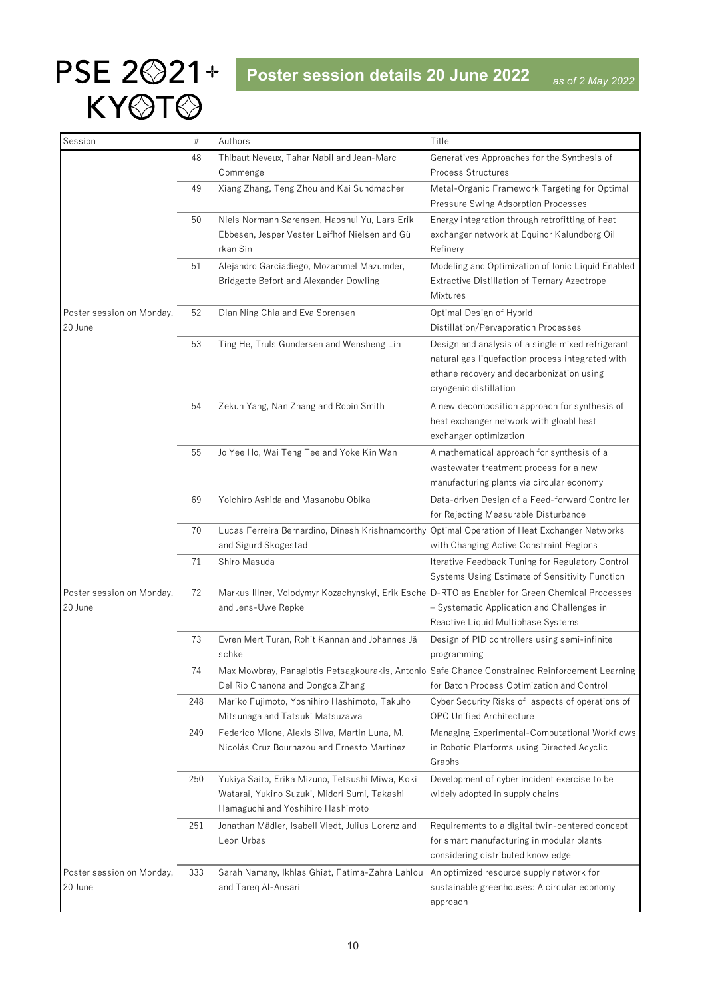| Session                   | #   | Authors                                                                                         | Title                                                                                                                                        |
|---------------------------|-----|-------------------------------------------------------------------------------------------------|----------------------------------------------------------------------------------------------------------------------------------------------|
|                           | 48  | Thibaut Neveux, Tahar Nabil and Jean-Marc                                                       | Generatives Approaches for the Synthesis of                                                                                                  |
|                           |     | Commenge                                                                                        | <b>Process Structures</b>                                                                                                                    |
|                           | 49  | Xiang Zhang, Teng Zhou and Kai Sundmacher                                                       | Metal-Organic Framework Targeting for Optimal                                                                                                |
|                           |     |                                                                                                 | Pressure Swing Adsorption Processes                                                                                                          |
|                           | 50  | Niels Normann Sørensen, Haoshui Yu, Lars Erik                                                   | Energy integration through retrofitting of heat                                                                                              |
|                           |     | Ebbesen, Jesper Vester Leifhof Nielsen and Gü                                                   | exchanger network at Equinor Kalundborg Oil                                                                                                  |
|                           |     | rkan Sin                                                                                        | Refinery                                                                                                                                     |
|                           | 51  | Alejandro Garciadiego, Mozammel Mazumder,                                                       | Modeling and Optimization of Ionic Liquid Enabled                                                                                            |
|                           |     | Bridgette Befort and Alexander Dowling                                                          | Extractive Distillation of Ternary Azeotrope<br>Mixtures                                                                                     |
| Poster session on Monday, | 52  | Dian Ning Chia and Eva Sorensen                                                                 | Optimal Design of Hybrid                                                                                                                     |
| 20 June                   |     |                                                                                                 | Distillation/Pervaporation Processes                                                                                                         |
|                           | 53  | Ting He, Truls Gundersen and Wensheng Lin                                                       | Design and analysis of a single mixed refrigerant                                                                                            |
|                           |     |                                                                                                 | natural gas liquefaction process integrated with                                                                                             |
|                           |     |                                                                                                 | ethane recovery and decarbonization using                                                                                                    |
|                           |     |                                                                                                 | cryogenic distillation                                                                                                                       |
|                           | 54  | Zekun Yang, Nan Zhang and Robin Smith                                                           | A new decomposition approach for synthesis of                                                                                                |
|                           |     |                                                                                                 | heat exchanger network with gloabl heat                                                                                                      |
|                           |     |                                                                                                 | exchanger optimization                                                                                                                       |
|                           | 55  | Jo Yee Ho, Wai Teng Tee and Yoke Kin Wan                                                        | A mathematical approach for synthesis of a                                                                                                   |
|                           |     |                                                                                                 | wastewater treatment process for a new                                                                                                       |
|                           |     |                                                                                                 | manufacturing plants via circular economy                                                                                                    |
|                           | 69  | Yoichiro Ashida and Masanobu Obika                                                              | Data-driven Design of a Feed-forward Controller                                                                                              |
|                           |     |                                                                                                 | for Rejecting Measurable Disturbance                                                                                                         |
|                           | 70  | Lucas Ferreira Bernardino, Dinesh Krishnamoorthy Optimal Operation of Heat Exchanger Networks   |                                                                                                                                              |
|                           |     | and Sigurd Skogestad                                                                            | with Changing Active Constraint Regions                                                                                                      |
|                           | 71  | Shiro Masuda                                                                                    | Iterative Feedback Tuning for Regulatory Control                                                                                             |
|                           |     |                                                                                                 | Systems Using Estimate of Sensitivity Function                                                                                               |
| Poster session on Monday, | 72  | Markus Illner, Volodymyr Kozachynskyi, Erik Esche D-RTO as Enabler for Green Chemical Processes |                                                                                                                                              |
| 20 June                   |     | and Jens-Uwe Repke                                                                              | - Systematic Application and Challenges in                                                                                                   |
|                           |     |                                                                                                 | Reactive Liquid Multiphase Systems                                                                                                           |
|                           | 73  | Evren Mert Turan, Rohit Kannan and Johannes Jä                                                  | Design of PID controllers using semi-infinite                                                                                                |
|                           |     | schke                                                                                           | programming                                                                                                                                  |
|                           | 74  | Del Rio Chanona and Dongda Zhang                                                                | Max Mowbray, Panagiotis Petsagkourakis, Antonio Safe Chance Constrained Reinforcement Learning<br>for Batch Process Optimization and Control |
|                           | 248 | Mariko Fujimoto, Yoshihiro Hashimoto, Takuho                                                    | Cyber Security Risks of aspects of operations of                                                                                             |
|                           |     | Mitsunaga and Tatsuki Matsuzawa                                                                 | <b>OPC Unified Architecture</b>                                                                                                              |
|                           | 249 | Federico Mione, Alexis Silva, Martin Luna, M.                                                   | Managing Experimental-Computational Workflows                                                                                                |
|                           |     | Nicolás Cruz Bournazou and Ernesto Martinez                                                     | in Robotic Platforms using Directed Acyclic                                                                                                  |
|                           |     |                                                                                                 | Graphs                                                                                                                                       |
|                           | 250 | Yukiya Saito, Erika Mizuno, Tetsushi Miwa, Koki                                                 | Development of cyber incident exercise to be                                                                                                 |
|                           |     | Watarai, Yukino Suzuki, Midori Sumi, Takashi                                                    | widely adopted in supply chains                                                                                                              |
|                           |     | Hamaguchi and Yoshihiro Hashimoto                                                               |                                                                                                                                              |
|                           | 251 | Jonathan Mädler, Isabell Viedt, Julius Lorenz and                                               | Requirements to a digital twin-centered concept                                                                                              |
|                           |     | Leon Urbas                                                                                      | for smart manufacturing in modular plants                                                                                                    |
|                           |     |                                                                                                 | considering distributed knowledge                                                                                                            |
| Poster session on Monday, | 333 | Sarah Namany, Ikhlas Ghiat, Fatima-Zahra Lahlou                                                 | An optimized resource supply network for                                                                                                     |
| 20 June                   |     | and Tareg Al-Ansari                                                                             | sustainable greenhouses: A circular economy                                                                                                  |
|                           |     |                                                                                                 | approach                                                                                                                                     |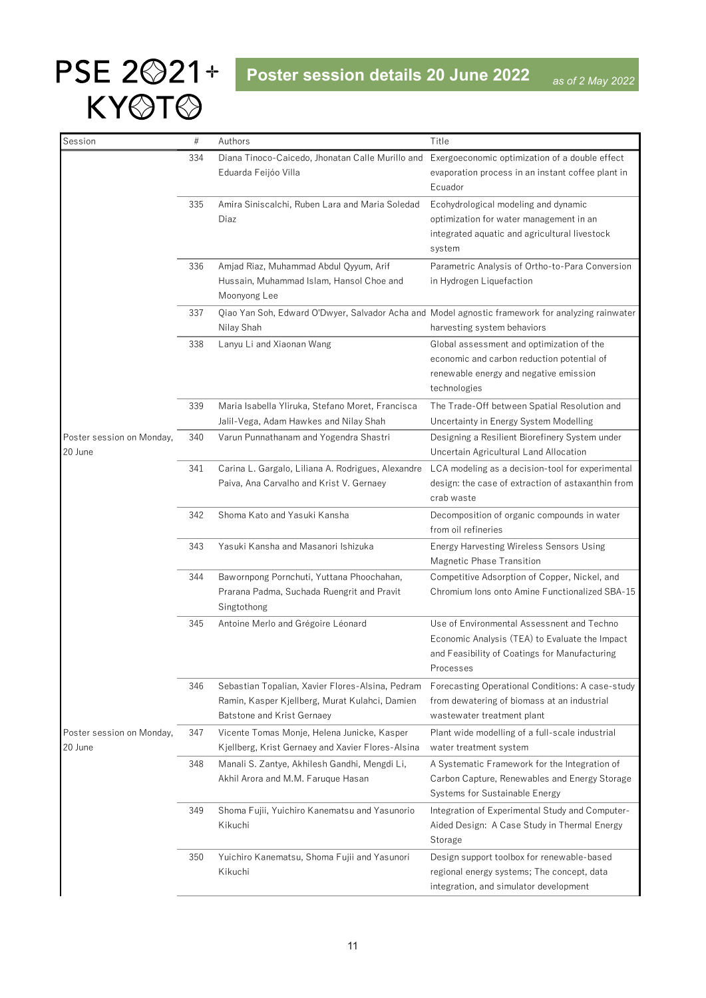| Session                              | #   | Authors                                                                                                                          | Title                                                                                                                                                      |
|--------------------------------------|-----|----------------------------------------------------------------------------------------------------------------------------------|------------------------------------------------------------------------------------------------------------------------------------------------------------|
|                                      | 334 | Diana Tinoco-Caicedo, Jhonatan Calle Murillo and                                                                                 | Exergoeconomic optimization of a double effect                                                                                                             |
|                                      |     | Eduarda Feijóo Villa                                                                                                             | evaporation process in an instant coffee plant in<br>Ecuador                                                                                               |
|                                      | 335 | Amira Siniscalchi, Ruben Lara and Maria Soledad<br>Diaz                                                                          | Ecohydrological modeling and dynamic<br>optimization for water management in an<br>integrated aquatic and agricultural livestock<br>system                 |
|                                      | 336 | Amjad Riaz, Muhammad Abdul Qyyum, Arif<br>Hussain, Muhammad Islam, Hansol Choe and<br>Moonyong Lee                               | Parametric Analysis of Ortho-to-Para Conversion<br>in Hydrogen Liquefaction                                                                                |
|                                      | 337 | Nilay Shah                                                                                                                       | Qiao Yan Soh, Edward O'Dwyer, Salvador Acha and Model agnostic framework for analyzing rainwater<br>harvesting system behaviors                            |
|                                      | 338 | Lanyu Li and Xiaonan Wang                                                                                                        | Global assessment and optimization of the<br>economic and carbon reduction potential of<br>renewable energy and negative emission<br>technologies          |
|                                      | 339 | Maria Isabella Yliruka, Stefano Moret, Francisca<br>Jalil-Vega, Adam Hawkes and Nilay Shah                                       | The Trade-Off between Spatial Resolution and<br>Uncertainty in Energy System Modelling                                                                     |
| Poster session on Monday,<br>20 June | 340 | Varun Punnathanam and Yogendra Shastri                                                                                           | Designing a Resilient Biorefinery System under<br>Uncertain Agricultural Land Allocation                                                                   |
|                                      | 341 | Carina L. Gargalo, Liliana A. Rodrigues, Alexandre<br>Paiva, Ana Carvalho and Krist V. Gernaey                                   | LCA modeling as a decision-tool for experimental<br>design: the case of extraction of astaxanthin from<br>crab waste                                       |
|                                      | 342 | Shoma Kato and Yasuki Kansha                                                                                                     | Decomposition of organic compounds in water<br>from oil refineries                                                                                         |
|                                      | 343 | Yasuki Kansha and Masanori Ishizuka                                                                                              | Energy Harvesting Wireless Sensors Using<br>Magnetic Phase Transition                                                                                      |
|                                      | 344 | Bawornpong Pornchuti, Yuttana Phoochahan,<br>Prarana Padma, Suchada Ruengrit and Pravit<br>Singtothong                           | Competitive Adsorption of Copper, Nickel, and<br>Chromium lons onto Amine Functionalized SBA-15                                                            |
|                                      | 345 | Antoine Merlo and Grégoire Léonard                                                                                               | Use of Environmental Assessnent and Techno<br>Economic Analysis (TEA) to Evaluate the Impact<br>and Feasibility of Coatings for Manufacturing<br>Processes |
|                                      | 346 | Sebastian Topalian, Xavier Flores-Alsina, Pedram<br>Ramin, Kasper Kjellberg, Murat Kulahci, Damien<br>Batstone and Krist Gernaey | Forecasting Operational Conditions: A case-study<br>from dewatering of biomass at an industrial<br>wastewater treatment plant                              |
| Poster session on Monday,<br>20 June | 347 | Vicente Tomas Monje, Helena Junicke, Kasper<br>Kjellberg, Krist Gernaey and Xavier Flores-Alsina                                 | Plant wide modelling of a full-scale industrial<br>water treatment system                                                                                  |
|                                      | 348 | Manali S. Zantye, Akhilesh Gandhi, Mengdi Li,<br>Akhil Arora and M.M. Faruque Hasan                                              | A Systematic Framework for the Integration of<br>Carbon Capture, Renewables and Energy Storage<br>Systems for Sustainable Energy                           |
|                                      | 349 | Shoma Fujii, Yuichiro Kanematsu and Yasunorio<br>Kikuchi                                                                         | Integration of Experimental Study and Computer-<br>Aided Design: A Case Study in Thermal Energy<br>Storage                                                 |
|                                      | 350 | Yuichiro Kanematsu, Shoma Fujii and Yasunori<br>Kikuchi                                                                          | Design support toolbox for renewable-based<br>regional energy systems; The concept, data<br>integration, and simulator development                         |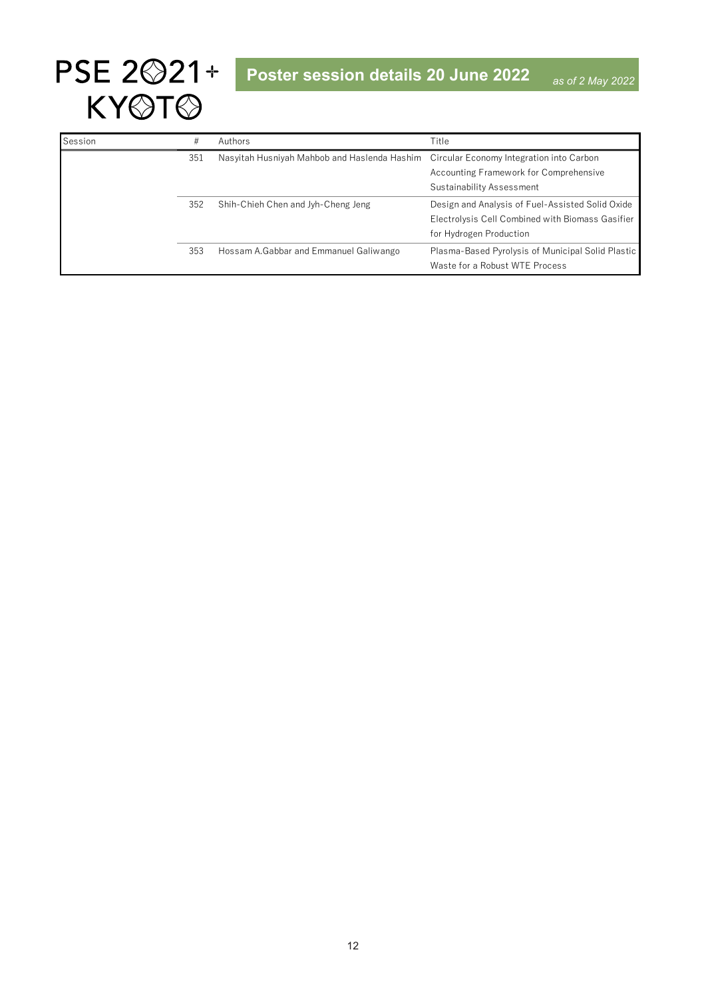

| Session | #   | Authors                                                                               | Title                                             |
|---------|-----|---------------------------------------------------------------------------------------|---------------------------------------------------|
|         | 351 | Nasyitah Husniyah Mahbob and Haslenda Hashim Circular Economy Integration into Carbon |                                                   |
|         |     |                                                                                       | Accounting Framework for Comprehensive            |
|         |     |                                                                                       | Sustainability Assessment                         |
|         | 352 | Shih-Chieh Chen and Jyh-Cheng Jeng                                                    | Design and Analysis of Fuel-Assisted Solid Oxide  |
|         |     |                                                                                       | Electrolysis Cell Combined with Biomass Gasifier  |
|         |     |                                                                                       | for Hydrogen Production                           |
|         | 353 | Hossam A.Gabbar and Emmanuel Galiwango                                                | Plasma-Based Pyrolysis of Municipal Solid Plastic |
|         |     |                                                                                       | Waste for a Robust WTE Process                    |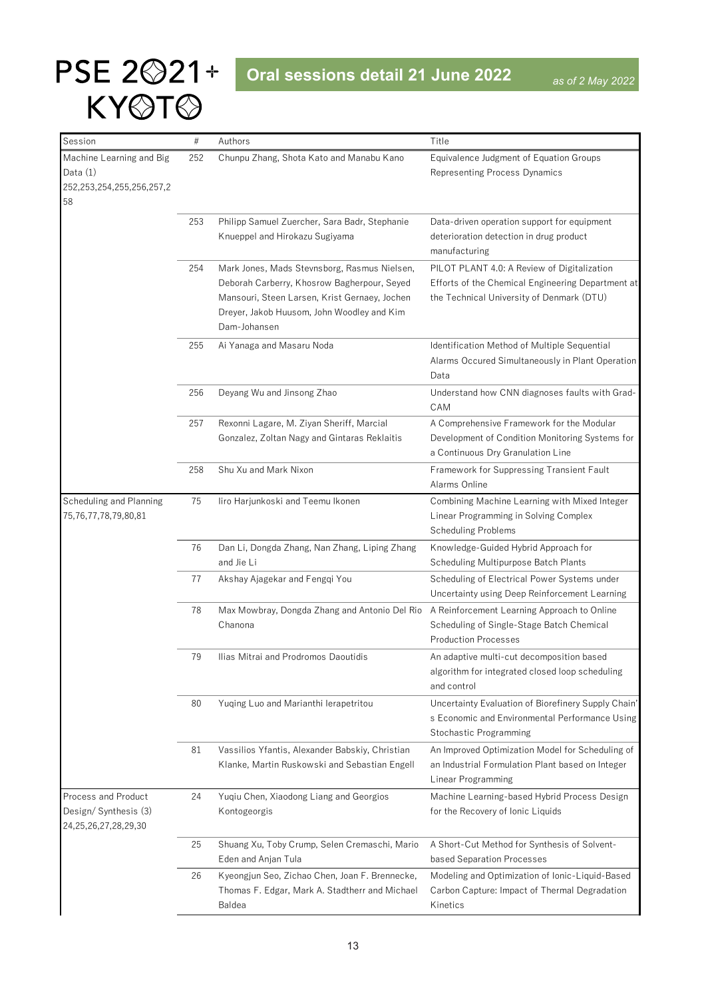<span id="page-12-0"></span>

| Session                         | $\#$ | Authors                                                                                          | Title                                                                                            |
|---------------------------------|------|--------------------------------------------------------------------------------------------------|--------------------------------------------------------------------------------------------------|
| Machine Learning and Big        | 252  | Chunpu Zhang, Shota Kato and Manabu Kano                                                         | Equivalence Judgment of Equation Groups                                                          |
| Data $(1)$                      |      |                                                                                                  | <b>Representing Process Dynamics</b>                                                             |
| 252, 253, 254, 255, 256, 257, 2 |      |                                                                                                  |                                                                                                  |
| 58                              |      |                                                                                                  |                                                                                                  |
|                                 | 253  | Philipp Samuel Zuercher, Sara Badr, Stephanie                                                    | Data-driven operation support for equipment                                                      |
|                                 |      | Knueppel and Hirokazu Sugiyama                                                                   | deterioration detection in drug product                                                          |
|                                 |      |                                                                                                  | manufacturing                                                                                    |
|                                 | 254  | Mark Jones, Mads Stevnsborg, Rasmus Nielsen,                                                     | PILOT PLANT 4.0: A Review of Digitalization                                                      |
|                                 |      | Deborah Carberry, Khosrow Bagherpour, Seyed<br>Mansouri, Steen Larsen, Krist Gernaey, Jochen     | Efforts of the Chemical Engineering Department at<br>the Technical University of Denmark (DTU)   |
|                                 |      | Dreyer, Jakob Huusom, John Woodley and Kim                                                       |                                                                                                  |
|                                 |      | Dam-Johansen                                                                                     |                                                                                                  |
|                                 | 255  | Ai Yanaga and Masaru Noda                                                                        | Identification Method of Multiple Sequential                                                     |
|                                 |      |                                                                                                  | Alarms Occured Simultaneously in Plant Operation                                                 |
|                                 |      |                                                                                                  | Data                                                                                             |
|                                 | 256  | Deyang Wu and Jinsong Zhao                                                                       | Understand how CNN diagnoses faults with Grad-                                                   |
|                                 |      |                                                                                                  | CAM                                                                                              |
|                                 | 257  | Rexonni Lagare, M. Ziyan Sheriff, Marcial                                                        | A Comprehensive Framework for the Modular                                                        |
|                                 |      | Gonzalez, Zoltan Nagy and Gintaras Reklaitis                                                     | Development of Condition Monitoring Systems for                                                  |
|                                 |      |                                                                                                  | a Continuous Dry Granulation Line                                                                |
|                                 | 258  | Shu Xu and Mark Nixon                                                                            | Framework for Suppressing Transient Fault<br>Alarms Online                                       |
| Scheduling and Planning         | 75   | liro Harjunkoski and Teemu Ikonen                                                                | Combining Machine Learning with Mixed Integer                                                    |
| 75,76,77,78,79,80,81            |      |                                                                                                  | Linear Programming in Solving Complex                                                            |
|                                 |      |                                                                                                  | <b>Scheduling Problems</b>                                                                       |
|                                 | 76   | Dan Li, Dongda Zhang, Nan Zhang, Liping Zhang                                                    | Knowledge-Guided Hybrid Approach for                                                             |
|                                 |      | and Jie Li                                                                                       | Scheduling Multipurpose Batch Plants                                                             |
|                                 | 77   | Akshay Ajagekar and Fengqi You                                                                   | Scheduling of Electrical Power Systems under                                                     |
|                                 |      |                                                                                                  | Uncertainty using Deep Reinforcement Learning                                                    |
|                                 | 78   | Max Mowbray, Dongda Zhang and Antonio Del Rio                                                    | A Reinforcement Learning Approach to Online                                                      |
|                                 |      | Chanona                                                                                          | Scheduling of Single-Stage Batch Chemical                                                        |
|                                 |      |                                                                                                  | <b>Production Processes</b>                                                                      |
|                                 | 79   | Ilias Mitrai and Prodromos Daoutidis                                                             | An adaptive multi-cut decomposition based<br>algorithm for integrated closed loop scheduling     |
|                                 |      |                                                                                                  | and control                                                                                      |
|                                 | 80   | Yuqing Luo and Marianthi lerapetritou                                                            | Uncertainty Evaluation of Biorefinery Supply Chain'                                              |
|                                 |      |                                                                                                  | s Economic and Environmental Performance Using                                                   |
|                                 |      |                                                                                                  | Stochastic Programming                                                                           |
|                                 | 81   | Vassilios Yfantis, Alexander Babskiy, Christian                                                  | An Improved Optimization Model for Scheduling of                                                 |
|                                 |      | Klanke, Martin Ruskowski and Sebastian Engell                                                    | an Industrial Formulation Plant based on Integer                                                 |
|                                 |      |                                                                                                  | <b>Linear Programming</b>                                                                        |
| Process and Product             | 24   | Yuqiu Chen, Xiaodong Liang and Georgios                                                          | Machine Learning-based Hybrid Process Design                                                     |
| Design/Synthesis (3)            |      | Kontogeorgis                                                                                     | for the Recovery of Ionic Liquids                                                                |
| 24,25,26,27,28,29,30            |      |                                                                                                  |                                                                                                  |
|                                 | 25   | Shuang Xu, Toby Crump, Selen Cremaschi, Mario                                                    | A Short-Cut Method for Synthesis of Solvent-                                                     |
|                                 |      | Eden and Anjan Tula                                                                              | based Separation Processes                                                                       |
|                                 | 26   | Kyeongjun Seo, Zichao Chen, Joan F. Brennecke,<br>Thomas F. Edgar, Mark A. Stadtherr and Michael | Modeling and Optimization of Ionic-Liquid-Based<br>Carbon Capture: Impact of Thermal Degradation |
|                                 |      | Baldea                                                                                           | Kinetics                                                                                         |
|                                 |      |                                                                                                  |                                                                                                  |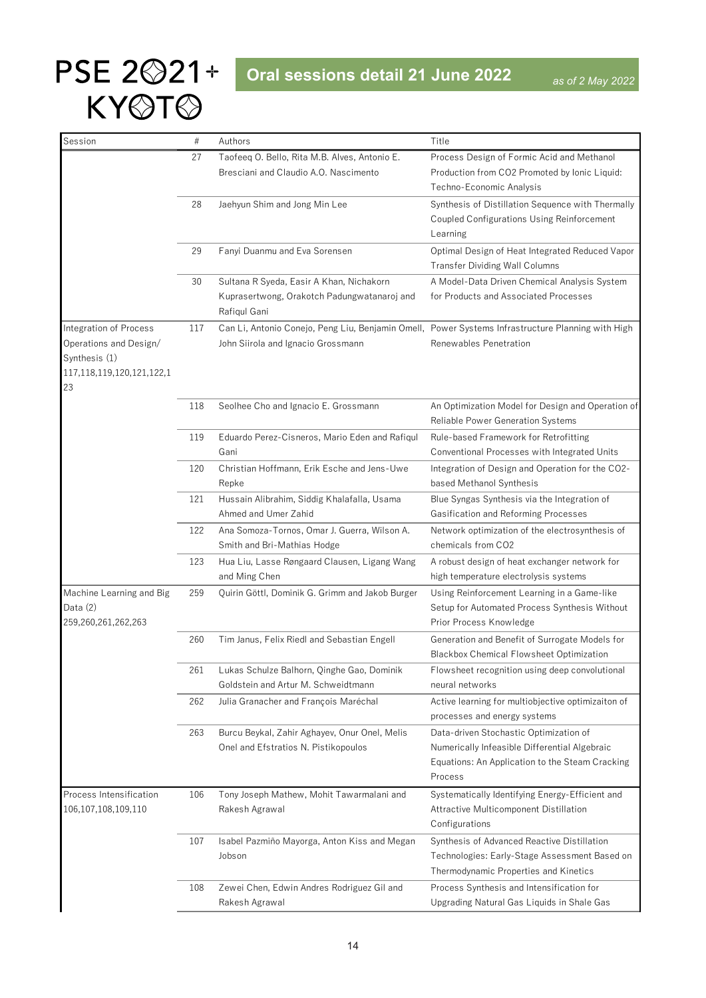

| Session                   | #   | Authors                                                                                           | Title                                              |
|---------------------------|-----|---------------------------------------------------------------------------------------------------|----------------------------------------------------|
|                           | 27  | Taofeeq O. Bello, Rita M.B. Alves, Antonio E.                                                     | Process Design of Formic Acid and Methanol         |
|                           |     | Bresciani and Claudio A.O. Nascimento                                                             | Production from CO2 Promoted by Ionic Liquid:      |
|                           |     |                                                                                                   | Techno-Economic Analysis                           |
|                           | 28  | Jaehyun Shim and Jong Min Lee                                                                     | Synthesis of Distillation Sequence with Thermally  |
|                           |     |                                                                                                   | Coupled Configurations Using Reinforcement         |
|                           |     |                                                                                                   | Learning                                           |
|                           | 29  | Fanyi Duanmu and Eva Sorensen                                                                     | Optimal Design of Heat Integrated Reduced Vapor    |
|                           |     |                                                                                                   | <b>Transfer Dividing Wall Columns</b>              |
|                           | 30  | Sultana R Syeda, Easir A Khan, Nichakorn                                                          | A Model-Data Driven Chemical Analysis System       |
|                           |     | Kuprasertwong, Orakotch Padungwatanaroj and                                                       | for Products and Associated Processes              |
|                           |     | Rafiqul Gani                                                                                      |                                                    |
| Integration of Process    | 117 | Can Li, Antonio Conejo, Peng Liu, Benjamin Omell, Power Systems Infrastructure Planning with High |                                                    |
| Operations and Design/    |     | John Siirola and Ignacio Grossmann                                                                | Renewables Penetration                             |
| Synthesis (1)             |     |                                                                                                   |                                                    |
| 117,118,119,120,121,122,1 |     |                                                                                                   |                                                    |
| 23                        |     |                                                                                                   |                                                    |
|                           | 118 | Seolhee Cho and Ignacio E. Grossmann                                                              | An Optimization Model for Design and Operation of  |
|                           |     |                                                                                                   | Reliable Power Generation Systems                  |
|                           | 119 | Eduardo Perez-Cisneros, Mario Eden and Rafiqul                                                    | Rule-based Framework for Retrofitting              |
|                           |     | Gani                                                                                              | Conventional Processes with Integrated Units       |
|                           | 120 | Christian Hoffmann, Erik Esche and Jens-Uwe                                                       | Integration of Design and Operation for the CO2-   |
|                           |     | Repke                                                                                             | based Methanol Synthesis                           |
|                           | 121 | Hussain Alibrahim, Siddig Khalafalla, Usama                                                       | Blue Syngas Synthesis via the Integration of       |
|                           |     | Ahmed and Umer Zahid                                                                              | Gasification and Reforming Processes               |
|                           | 122 | Ana Somoza-Tornos, Omar J. Guerra, Wilson A.                                                      | Network optimization of the electrosynthesis of    |
|                           |     | Smith and Bri-Mathias Hodge                                                                       | chemicals from CO2                                 |
|                           | 123 | Hua Liu, Lasse Røngaard Clausen, Ligang Wang                                                      | A robust design of heat exchanger network for      |
|                           |     | and Ming Chen                                                                                     | high temperature electrolysis systems              |
| Machine Learning and Big  | 259 | Quirin Göttl, Dominik G. Grimm and Jakob Burger                                                   | Using Reinforcement Learning in a Game-like        |
| Data (2)                  |     |                                                                                                   | Setup for Automated Process Synthesis Without      |
| 259,260,261,262,263       |     |                                                                                                   | Prior Process Knowledge                            |
|                           | 260 | Tim Janus, Felix Riedl and Sebastian Engell                                                       | Generation and Benefit of Surrogate Models for     |
|                           |     |                                                                                                   | Blackbox Chemical Flowsheet Optimization           |
|                           | 261 | Lukas Schulze Balhorn, Qinghe Gao, Dominik                                                        | Flowsheet recognition using deep convolutional     |
|                           |     | Goldstein and Artur M. Schweidtmann                                                               | neural networks                                    |
|                           | 262 | Julia Granacher and François Maréchal                                                             | Active learning for multiobjective optimizaiton of |
|                           |     |                                                                                                   | processes and energy systems                       |
|                           | 263 | Burcu Beykal, Zahir Aghayev, Onur Onel, Melis                                                     | Data-driven Stochastic Optimization of             |
|                           |     | Onel and Efstratios N. Pistikopoulos                                                              | Numerically Infeasible Differential Algebraic      |
|                           |     |                                                                                                   | Equations: An Application to the Steam Cracking    |
|                           |     |                                                                                                   | Process                                            |
| Process Intensification   | 106 | Tony Joseph Mathew, Mohit Tawarmalani and                                                         | Systematically Identifying Energy-Efficient and    |
| 106,107,108,109,110       |     | Rakesh Agrawal                                                                                    | Attractive Multicomponent Distillation             |
|                           |     |                                                                                                   | Configurations                                     |
|                           | 107 | Isabel Pazmiño Mayorga, Anton Kiss and Megan                                                      | Synthesis of Advanced Reactive Distillation        |
|                           |     | Jobson                                                                                            | Technologies: Early-Stage Assessment Based on      |
|                           |     |                                                                                                   | Thermodynamic Properties and Kinetics              |
|                           | 108 | Zewei Chen, Edwin Andres Rodriguez Gil and                                                        | Process Synthesis and Intensification for          |
|                           |     | Rakesh Agrawal                                                                                    | Upgrading Natural Gas Liquids in Shale Gas         |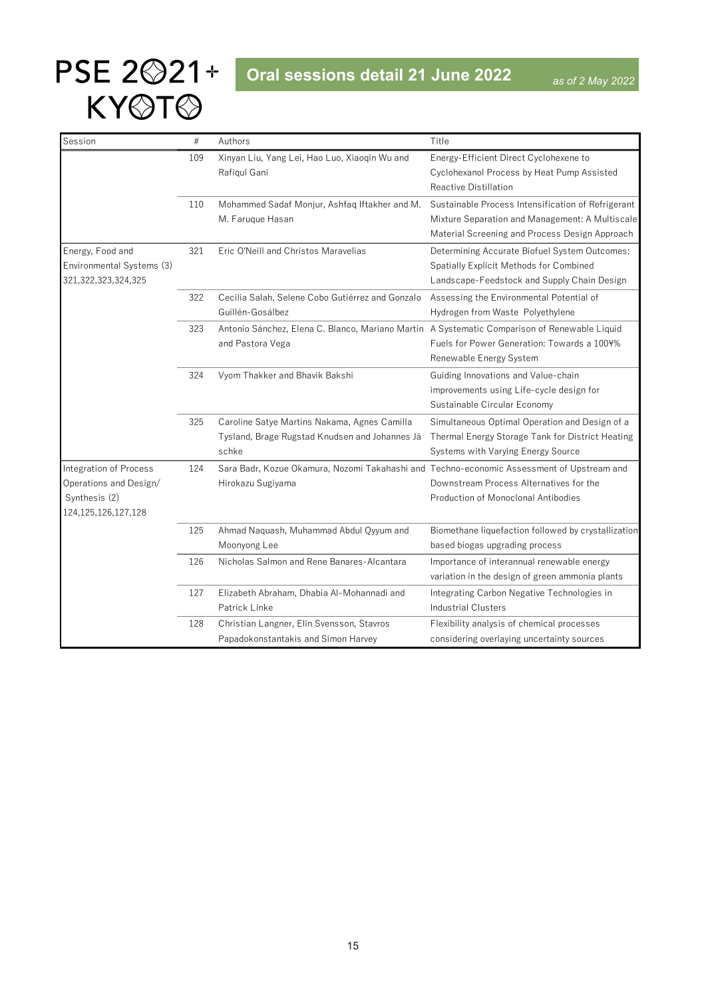| Session                   | $\#$ | Authors                                                                                      | Title                                               |
|---------------------------|------|----------------------------------------------------------------------------------------------|-----------------------------------------------------|
|                           | 109  | Xinyan Liu, Yang Lei, Hao Luo, Xiaoqin Wu and                                                | Energy-Efficient Direct Cyclohexene to              |
|                           |      | Rafiqul Gani                                                                                 | Cyclohexanol Process by Heat Pump Assisted          |
|                           |      |                                                                                              | Reactive Distillation                               |
|                           | 110  | Mohammed Sadaf Monjur, Ashfaq Iftakher and M.                                                | Sustainable Process Intensification of Refrigerant  |
|                           |      | M. Faruque Hasan                                                                             | Mixture Separation and Management: A Multiscale     |
|                           |      |                                                                                              | Material Screening and Process Design Approach      |
| Energy, Food and          | 321  | Eric O'Neill and Christos Maravelias                                                         | Determining Accurate Biofuel System Outcomes:       |
| Environmental Systems (3) |      |                                                                                              | Spatially Explicit Methods for Combined             |
| 321, 322, 323, 324, 325   |      |                                                                                              | Landscape-Feedstock and Supply Chain Design         |
|                           | 322  | Cecilia Salah, Selene Cobo Gutiérrez and Gonzalo                                             | Assessing the Environmental Potential of            |
|                           |      | Guillén-Gosálbez                                                                             | Hydrogen from Waste Polyethylene                    |
|                           | 323  | Antonio Sánchez, Elena C. Blanco, Mariano Martín A Systematic Comparison of Renewable Liquid |                                                     |
|                           |      | and Pastora Vega                                                                             | Fuels for Power Generation: Towards a 100¥%         |
|                           |      |                                                                                              | Renewable Energy System                             |
|                           | 324  | Vyom Thakker and Bhavik Bakshi                                                               | Guiding Innovations and Value-chain                 |
|                           |      |                                                                                              | improvements using Life-cycle design for            |
|                           |      |                                                                                              | Sustainable Circular Economy                        |
|                           | 325  | Caroline Satye Martins Nakama, Agnes Camilla                                                 | Simultaneous Optimal Operation and Design of a      |
|                           |      | Tysland, Brage Rugstad Knudsen and Johannes Jä                                               | Thermal Energy Storage Tank for District Heating    |
|                           |      | schke                                                                                        | Systems with Varying Energy Source                  |
| Integration of Process    | 124  | Sara Badr, Kozue Okamura, Nozomi Takahashi and Techno-economic Assessment of Upstream and    |                                                     |
| Operations and Design/    |      | Hirokazu Sugiyama                                                                            | Downstream Process Alternatives for the             |
| Synthesis (2)             |      |                                                                                              | Production of Monoclonal Antibodies                 |
| 124, 125, 126, 127, 128   |      |                                                                                              |                                                     |
|                           | 125  | Ahmad Naquash, Muhammad Abdul Qyyum and                                                      | Biomethane liquefaction followed by crystallization |
|                           |      | Moonyong Lee                                                                                 | based biogas upgrading process                      |
|                           | 126  | Nicholas Salmon and Rene Banares-Alcantara                                                   | Importance of interannual renewable energy          |
|                           |      |                                                                                              | variation in the design of green ammonia plants     |
|                           | 127  | Elizabeth Abraham, Dhabia Al-Mohannadi and                                                   | Integrating Carbon Negative Technologies in         |
|                           |      | Patrick Linke                                                                                | <b>Industrial Clusters</b>                          |
|                           | 128  | Christian Langner, Elin Svensson, Stavros                                                    | Flexibility analysis of chemical processes          |
|                           |      | Papadokonstantakis and Simon Harvey                                                          | considering overlaying uncertainty sources          |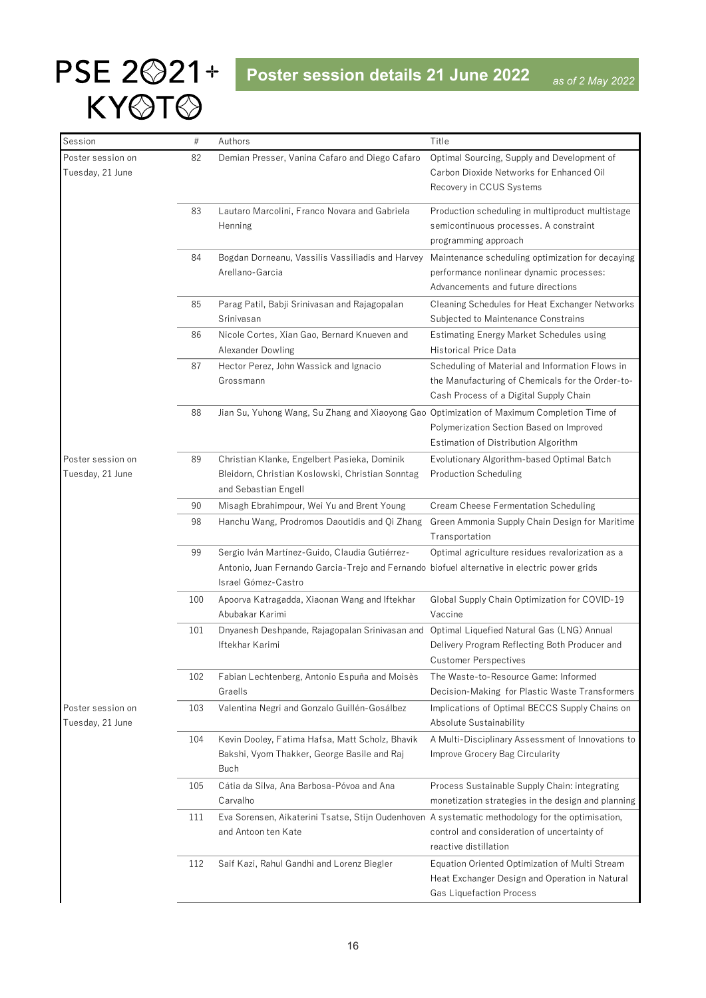<span id="page-15-0"></span>

| Session                               | $\#$ | Authors                                                                                                                                                               | Title                                                                                                                                         |
|---------------------------------------|------|-----------------------------------------------------------------------------------------------------------------------------------------------------------------------|-----------------------------------------------------------------------------------------------------------------------------------------------|
| Poster session on<br>Tuesday, 21 June | 82   | Demian Presser, Vanina Cafaro and Diego Cafaro                                                                                                                        | Optimal Sourcing, Supply and Development of<br>Carbon Dioxide Networks for Enhanced Oil<br>Recovery in CCUS Systems                           |
|                                       | 83   | Lautaro Marcolini, Franco Novara and Gabriela<br>Henning                                                                                                              | Production scheduling in multiproduct multistage<br>semicontinuous processes. A constraint<br>programming approach                            |
|                                       | 84   | Bogdan Dorneanu, Vassilis Vassiliadis and Harvey<br>Arellano-Garcia                                                                                                   | Maintenance scheduling optimization for decaying<br>performance nonlinear dynamic processes:<br>Advancements and future directions            |
|                                       | 85   | Parag Patil, Babji Srinivasan and Rajagopalan<br>Srinivasan                                                                                                           | Cleaning Schedules for Heat Exchanger Networks<br>Subjected to Maintenance Constrains                                                         |
|                                       | 86   | Nicole Cortes, Xian Gao, Bernard Knueven and<br>Alexander Dowling                                                                                                     | Estimating Energy Market Schedules using<br><b>Historical Price Data</b>                                                                      |
|                                       | 87   | Hector Perez, John Wassick and Ignacio<br>Grossmann                                                                                                                   | Scheduling of Material and Information Flows in<br>the Manufacturing of Chemicals for the Order-to-<br>Cash Process of a Digital Supply Chain |
|                                       | 88   | Jian Su, Yuhong Wang, Su Zhang and Xiaoyong Gao Optimization of Maximum Completion Time of                                                                            | Polymerization Section Based on Improved<br>Estimation of Distribution Algorithm                                                              |
| Poster session on<br>Tuesday, 21 June | 89   | Christian Klanke, Engelbert Pasieka, Dominik<br>Bleidorn, Christian Koslowski, Christian Sonntag<br>and Sebastian Engell                                              | Evolutionary Algorithm-based Optimal Batch<br><b>Production Scheduling</b>                                                                    |
|                                       | 90   | Misagh Ebrahimpour, Wei Yu and Brent Young                                                                                                                            | Cream Cheese Fermentation Scheduling                                                                                                          |
|                                       | 98   | Hanchu Wang, Prodromos Daoutidis and Qi Zhang                                                                                                                         | Green Ammonia Supply Chain Design for Maritime<br>Transportation                                                                              |
|                                       | 99   | Sergio Iván Martínez-Guido, Claudia Gutiérrez-<br>Antonio, Juan Fernando Garcia-Trejo and Fernando biofuel alternative in electric power grids<br>Israel Gómez-Castro | Optimal agriculture residues revalorization as a                                                                                              |
|                                       | 100  | Apoorva Katragadda, Xiaonan Wang and Iftekhar<br>Abubakar Karimi                                                                                                      | Global Supply Chain Optimization for COVID-19<br>Vaccine                                                                                      |
|                                       | 101  | Dnyanesh Deshpande, Rajagopalan Srinivasan and Optimal Liquefied Natural Gas (LNG) Annual<br>Iftekhar Karimi                                                          | Delivery Program Reflecting Both Producer and<br><b>Customer Perspectives</b>                                                                 |
|                                       | 102  | Fabian Lechtenberg, Antonio Espuña and Moisès<br>Graells                                                                                                              | The Waste-to-Resource Game: Informed<br>Decision-Making for Plastic Waste Transformers                                                        |
| Poster session on<br>Tuesday, 21 June | 103  | Valentina Negri and Gonzalo Guillén-Gosálbez                                                                                                                          | Implications of Optimal BECCS Supply Chains on<br>Absolute Sustainability                                                                     |
|                                       | 104  | Kevin Dooley, Fatima Hafsa, Matt Scholz, Bhavik<br>Bakshi, Vyom Thakker, George Basile and Raj<br>Buch                                                                | A Multi-Disciplinary Assessment of Innovations to<br>Improve Grocery Bag Circularity                                                          |
|                                       | 105  | Cátia da Silva, Ana Barbosa-Póvoa and Ana<br>Carvalho                                                                                                                 | Process Sustainable Supply Chain: integrating<br>monetization strategies in the design and planning                                           |
|                                       | 111  | Eva Sorensen, Aikaterini Tsatse, Stijn Oudenhoven A systematic methodology for the optimisation,<br>and Antoon ten Kate                                               | control and consideration of uncertainty of<br>reactive distillation                                                                          |
|                                       | 112  | Saif Kazi, Rahul Gandhi and Lorenz Biegler                                                                                                                            | Equation Oriented Optimization of Multi Stream<br>Heat Exchanger Design and Operation in Natural<br>Gas Liquefaction Process                  |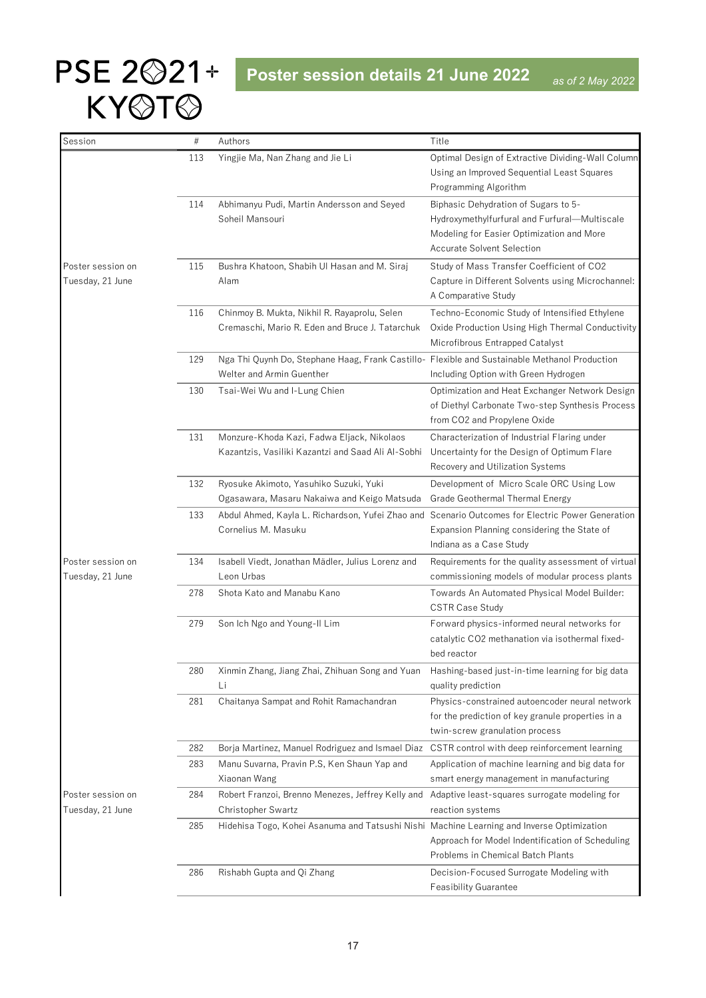| Session           | $\#$ | Authors                                                                                                                    | Title                                                                                               |
|-------------------|------|----------------------------------------------------------------------------------------------------------------------------|-----------------------------------------------------------------------------------------------------|
|                   | 113  | Yingjie Ma, Nan Zhang and Jie Li                                                                                           | Optimal Design of Extractive Dividing-Wall Column                                                   |
|                   |      |                                                                                                                            | Using an Improved Sequential Least Squares                                                          |
|                   |      |                                                                                                                            | Programming Algorithm                                                                               |
|                   | 114  | Abhimanyu Pudi, Martin Andersson and Seyed                                                                                 | Biphasic Dehydration of Sugars to 5-                                                                |
|                   |      | Soheil Mansouri                                                                                                            | Hydroxymethylfurfural and Furfural-Multiscale                                                       |
|                   |      |                                                                                                                            | Modeling for Easier Optimization and More                                                           |
|                   |      |                                                                                                                            | <b>Accurate Solvent Selection</b>                                                                   |
| Poster session on | 115  | Bushra Khatoon, Shabih Ul Hasan and M. Siraj                                                                               | Study of Mass Transfer Coefficient of CO2                                                           |
| Tuesday, 21 June  |      | Alam                                                                                                                       | Capture in Different Solvents using Microchannel:                                                   |
|                   |      |                                                                                                                            | A Comparative Study                                                                                 |
|                   | 116  | Chinmoy B. Mukta, Nikhil R. Rayaprolu, Selen                                                                               | Techno-Economic Study of Intensified Ethylene                                                       |
|                   |      | Cremaschi, Mario R. Eden and Bruce J. Tatarchuk                                                                            | Oxide Production Using High Thermal Conductivity                                                    |
|                   |      |                                                                                                                            | Microfibrous Entrapped Catalyst                                                                     |
|                   | 129  | Nga Thi Quynh Do, Stephane Haag, Frank Castillo- Flexible and Sustainable Methanol Production<br>Welter and Armin Guenther | Including Option with Green Hydrogen                                                                |
|                   | 130  | Tsai-Wei Wu and I-Lung Chien                                                                                               | Optimization and Heat Exchanger Network Design                                                      |
|                   |      |                                                                                                                            | of Diethyl Carbonate Two-step Synthesis Process                                                     |
|                   |      |                                                                                                                            | from CO2 and Propylene Oxide                                                                        |
|                   | 131  | Monzure-Khoda Kazi, Fadwa Eljack, Nikolaos                                                                                 | Characterization of Industrial Flaring under                                                        |
|                   |      | Kazantzis, Vasiliki Kazantzi and Saad Ali Al-Sobhi                                                                         | Uncertainty for the Design of Optimum Flare                                                         |
|                   |      |                                                                                                                            | Recovery and Utilization Systems                                                                    |
|                   | 132  | Ryosuke Akimoto, Yasuhiko Suzuki, Yuki                                                                                     | Development of Micro Scale ORC Using Low                                                            |
|                   |      | Ogasawara, Masaru Nakaiwa and Keigo Matsuda                                                                                | Grade Geothermal Thermal Energy                                                                     |
|                   | 133  | Abdul Ahmed, Kayla L. Richardson, Yufei Zhao and                                                                           | Scenario Outcomes for Electric Power Generation                                                     |
|                   |      | Cornelius M. Masuku                                                                                                        | Expansion Planning considering the State of                                                         |
|                   |      |                                                                                                                            | Indiana as a Case Study                                                                             |
| Poster session on | 134  | Isabell Viedt, Jonathan Mädler, Julius Lorenz and                                                                          | Requirements for the quality assessment of virtual                                                  |
| Tuesday, 21 June  |      | Leon Urbas                                                                                                                 | commissioning models of modular process plants                                                      |
|                   | 278  | Shota Kato and Manabu Kano                                                                                                 | Towards An Automated Physical Model Builder:                                                        |
|                   |      |                                                                                                                            | <b>CSTR Case Study</b>                                                                              |
|                   | 279  | Son Ich Ngo and Young-II Lim                                                                                               | Forward physics-informed neural networks for                                                        |
|                   |      |                                                                                                                            | catalytic CO2 methanation via isothermal fixed-                                                     |
|                   |      |                                                                                                                            | bed reactor                                                                                         |
|                   | 280  | Xinmin Zhang, Jiang Zhai, Zhihuan Song and Yuan                                                                            | Hashing-based just-in-time learning for big data                                                    |
|                   |      | Li                                                                                                                         | quality prediction                                                                                  |
|                   | 281  | Chaitanya Sampat and Rohit Ramachandran                                                                                    | Physics-constrained autoencoder neural network<br>for the prediction of key granule properties in a |
|                   |      |                                                                                                                            | twin-screw granulation process                                                                      |
|                   | 282  | Borja Martinez, Manuel Rodriguez and Ismael Diaz                                                                           | CSTR control with deep reinforcement learning                                                       |
|                   | 283  | Manu Suvarna, Pravin P.S, Ken Shaun Yap and                                                                                | Application of machine learning and big data for                                                    |
|                   |      | Xiaonan Wang                                                                                                               | smart energy management in manufacturing                                                            |
| Poster session on | 284  | Robert Franzoi, Brenno Menezes, Jeffrey Kelly and                                                                          | Adaptive least-squares surrogate modeling for                                                       |
| Tuesday, 21 June  |      | Christopher Swartz                                                                                                         | reaction systems                                                                                    |
|                   | 285  | Hidehisa Togo, Kohei Asanuma and Tatsushi Nishi Machine Learning and Inverse Optimization                                  |                                                                                                     |
|                   |      |                                                                                                                            | Approach for Model Indentification of Scheduling                                                    |
|                   |      |                                                                                                                            | Problems in Chemical Batch Plants                                                                   |
|                   | 286  | Rishabh Gupta and Qi Zhang                                                                                                 | Decision-Focused Surrogate Modeling with                                                            |
|                   |      |                                                                                                                            | <b>Feasibility Guarantee</b>                                                                        |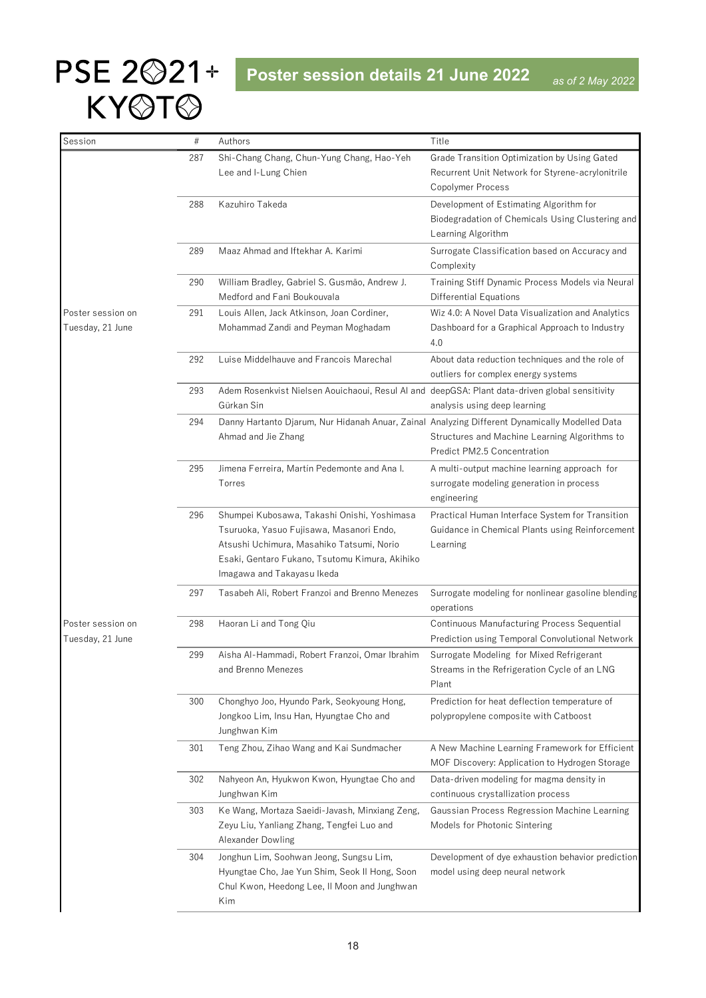| Session           | $\#$ | Authors                                                                                        | Title                                                                                |
|-------------------|------|------------------------------------------------------------------------------------------------|--------------------------------------------------------------------------------------|
|                   | 287  | Shi-Chang Chang, Chun-Yung Chang, Hao-Yeh                                                      | Grade Transition Optimization by Using Gated                                         |
|                   |      | Lee and I-Lung Chien                                                                           | Recurrent Unit Network for Styrene-acrylonitrile                                     |
|                   |      |                                                                                                | Copolymer Process                                                                    |
|                   | 288  | Kazuhiro Takeda                                                                                | Development of Estimating Algorithm for                                              |
|                   |      |                                                                                                | Biodegradation of Chemicals Using Clustering and                                     |
|                   |      |                                                                                                | Learning Algorithm                                                                   |
|                   | 289  | Maaz Ahmad and Iftekhar A. Karimi                                                              | Surrogate Classification based on Accuracy and                                       |
|                   |      |                                                                                                | Complexity                                                                           |
|                   | 290  | William Bradley, Gabriel S. Gusmão, Andrew J.                                                  | Training Stiff Dynamic Process Models via Neural                                     |
|                   |      | Medford and Fani Boukouvala                                                                    | Differential Equations                                                               |
| Poster session on | 291  | Louis Allen, Jack Atkinson, Joan Cordiner,                                                     | Wiz 4.0: A Novel Data Visualization and Analytics                                    |
| Tuesday, 21 June  |      | Mohammad Zandi and Peyman Moghadam                                                             | Dashboard for a Graphical Approach to Industry                                       |
|                   |      |                                                                                                | 4.0                                                                                  |
|                   | 292  | Luise Middelhauve and Francois Marechal                                                        | About data reduction techniques and the role of                                      |
|                   |      |                                                                                                | outliers for complex energy systems                                                  |
|                   | 293  | Adem Rosenkvist Nielsen Aouichaoui, Resul AI and deepGSA: Plant data-driven global sensitivity |                                                                                      |
|                   |      | Gürkan Sin                                                                                     | analysis using deep learning                                                         |
|                   | 294  | Danny Hartanto Djarum, Nur Hidanah Anuar, Zainal Analyzing Different Dynamically Modelled Data |                                                                                      |
|                   |      | Ahmad and Jie Zhang                                                                            | Structures and Machine Learning Algorithms to                                        |
|                   |      |                                                                                                | Predict PM2.5 Concentration                                                          |
|                   | 295  | Jimena Ferreira, Martín Pedemonte and Ana I.                                                   | A multi-output machine learning approach for                                         |
|                   |      | Torres                                                                                         | surrogate modeling generation in process                                             |
|                   |      |                                                                                                | engineering                                                                          |
|                   | 296  | Shumpei Kubosawa, Takashi Onishi, Yoshimasa                                                    | Practical Human Interface System for Transition                                      |
|                   |      | Tsuruoka, Yasuo Fujisawa, Masanori Endo,                                                       | Guidance in Chemical Plants using Reinforcement                                      |
|                   |      | Atsushi Uchimura, Masahiko Tatsumi, Norio                                                      | Learning                                                                             |
|                   |      | Esaki, Gentaro Fukano, Tsutomu Kimura, Akihiko                                                 |                                                                                      |
|                   |      | Imagawa and Takayasu Ikeda                                                                     |                                                                                      |
|                   | 297  | Tasabeh Ali, Robert Franzoi and Brenno Menezes                                                 | Surrogate modeling for nonlinear gasoline blending                                   |
|                   |      |                                                                                                | operations                                                                           |
| Poster session on | 298  | Haoran Li and Tong Qiu                                                                         | Continuous Manufacturing Process Sequential                                          |
| Tuesday, 21 June  |      |                                                                                                | Prediction using Temporal Convolutional Network                                      |
|                   | 299  | Aisha Al-Hammadi, Robert Franzoi, Omar Ibrahim                                                 | Surrogate Modeling for Mixed Refrigerant                                             |
|                   |      | and Brenno Menezes                                                                             | Streams in the Refrigeration Cycle of an LNG                                         |
|                   |      |                                                                                                | Plant                                                                                |
|                   | 300  | Chonghyo Joo, Hyundo Park, Seokyoung Hong,                                                     | Prediction for heat deflection temperature of                                        |
|                   |      | Jongkoo Lim, Insu Han, Hyungtae Cho and                                                        | polypropylene composite with Catboost                                                |
|                   |      | Junghwan Kim                                                                                   |                                                                                      |
|                   | 301  | Teng Zhou, Zihao Wang and Kai Sundmacher                                                       | A New Machine Learning Framework for Efficient                                       |
|                   |      |                                                                                                | MOF Discovery: Application to Hydrogen Storage                                       |
|                   | 302  | Nahyeon An, Hyukwon Kwon, Hyungtae Cho and<br>Junghwan Kim                                     | Data-driven modeling for magma density in                                            |
|                   |      |                                                                                                | continuous crystallization process                                                   |
|                   | 303  | Ke Wang, Mortaza Saeidi-Javash, Minxiang Zeng,<br>Zeyu Liu, Yanliang Zhang, Tengfei Luo and    | Gaussian Process Regression Machine Learning<br>Models for Photonic Sintering        |
|                   |      | Alexander Dowling                                                                              |                                                                                      |
|                   |      |                                                                                                |                                                                                      |
|                   | 304  | Jonghun Lim, Soohwan Jeong, Sungsu Lim,<br>Hyungtae Cho, Jae Yun Shim, Seok II Hong, Soon      | Development of dye exhaustion behavior prediction<br>model using deep neural network |
|                   |      | Chul Kwon, Heedong Lee, II Moon and Junghwan                                                   |                                                                                      |
|                   |      | Kim                                                                                            |                                                                                      |
|                   |      |                                                                                                |                                                                                      |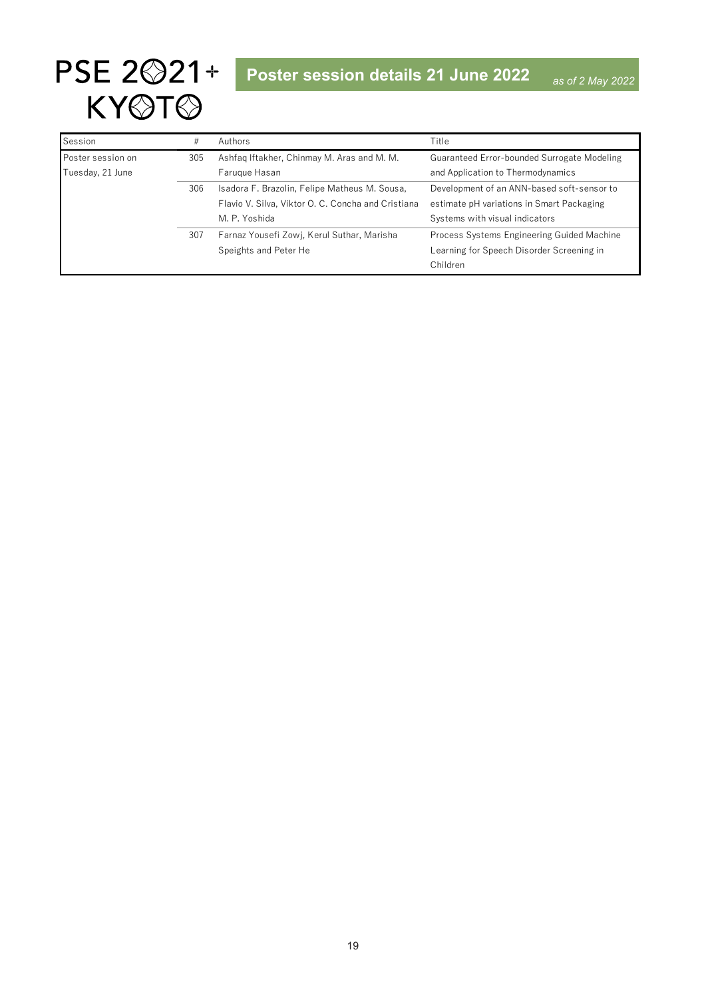| Session           | #   | Authors                                            | Title                                       |
|-------------------|-----|----------------------------------------------------|---------------------------------------------|
| Poster session on | 305 | Ashfaq Iftakher, Chinmay M. Aras and M. M.         | Guaranteed Error-bounded Surrogate Modeling |
| Tuesday, 21 June  |     | Farugue Hasan                                      | and Application to Thermodynamics           |
|                   | 306 | Isadora F. Brazolin, Felipe Matheus M. Sousa,      | Development of an ANN-based soft-sensor to  |
|                   |     | Flavio V. Silva, Viktor O. C. Concha and Cristiana | estimate pH variations in Smart Packaging   |
|                   |     | M. P. Yoshida                                      | Systems with visual indicators              |
|                   | 307 | Farnaz Yousefi Zowj, Kerul Suthar, Marisha         | Process Systems Engineering Guided Machine  |
|                   |     | Speights and Peter He                              | Learning for Speech Disorder Screening in   |
|                   |     |                                                    | Children                                    |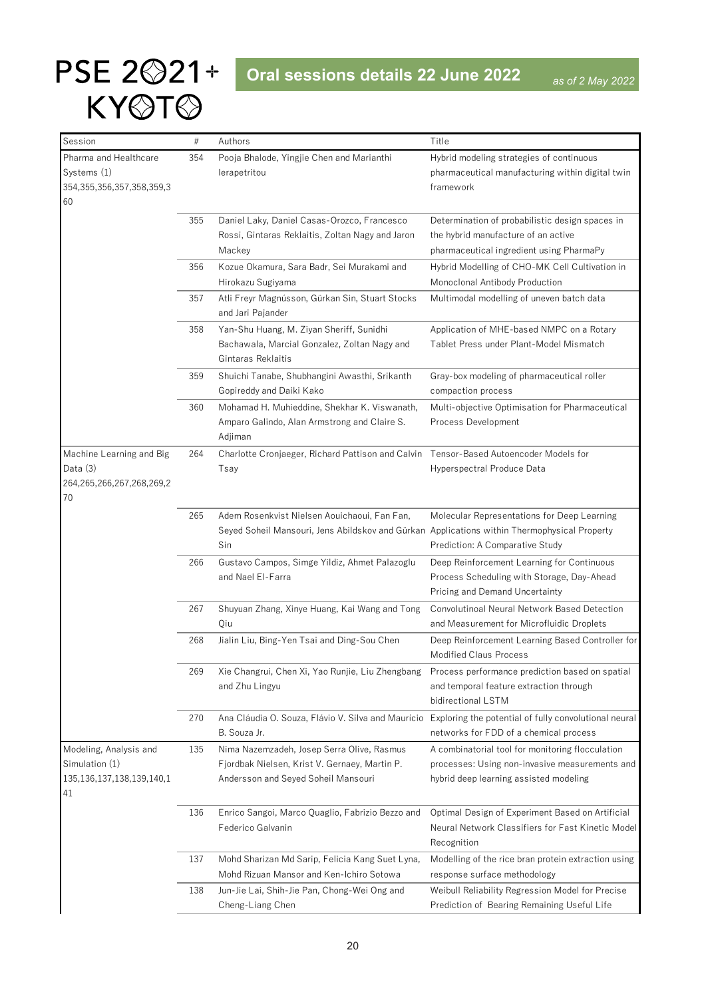<span id="page-19-0"></span>

| Session                         | $\#$ | Authors                                                                                      | Title                                                                                      |
|---------------------------------|------|----------------------------------------------------------------------------------------------|--------------------------------------------------------------------------------------------|
| Pharma and Healthcare           | 354  | Pooja Bhalode, Yingjie Chen and Marianthi                                                    | Hybrid modeling strategies of continuous                                                   |
| Systems (1)                     |      | lerapetritou                                                                                 | pharmaceutical manufacturing within digital twin                                           |
| 354, 355, 356, 357, 358, 359, 3 |      |                                                                                              | framework                                                                                  |
| 60                              |      |                                                                                              |                                                                                            |
|                                 | 355  | Daniel Laky, Daniel Casas-Orozco, Francesco                                                  | Determination of probabilistic design spaces in                                            |
|                                 |      | Rossi, Gintaras Reklaitis, Zoltan Nagy and Jaron                                             | the hybrid manufacture of an active                                                        |
|                                 |      | Mackey                                                                                       | pharmaceutical ingredient using PharmaPy                                                   |
|                                 | 356  | Kozue Okamura, Sara Badr, Sei Murakami and                                                   | Hybrid Modelling of CHO-MK Cell Cultivation in                                             |
|                                 |      | Hirokazu Sugiyama                                                                            | Monoclonal Antibody Production                                                             |
|                                 | 357  | Atli Freyr Magnússon, Gürkan Sin, Stuart Stocks                                              | Multimodal modelling of uneven batch data                                                  |
|                                 |      | and Jari Pajander                                                                            |                                                                                            |
|                                 | 358  | Yan-Shu Huang, M. Ziyan Sheriff, Sunidhi                                                     | Application of MHE-based NMPC on a Rotary                                                  |
|                                 |      | Bachawala, Marcial Gonzalez, Zoltan Nagy and                                                 | Tablet Press under Plant-Model Mismatch                                                    |
|                                 |      | Gintaras Reklaitis                                                                           |                                                                                            |
|                                 | 359  | Shuichi Tanabe, Shubhangini Awasthi, Srikanth                                                | Gray-box modeling of pharmaceutical roller                                                 |
|                                 |      | Gopireddy and Daiki Kako                                                                     | compaction process                                                                         |
|                                 | 360  | Mohamad H. Muhieddine, Shekhar K. Viswanath,                                                 | Multi-objective Optimisation for Pharmaceutical                                            |
|                                 |      | Amparo Galindo, Alan Armstrong and Claire S.                                                 | Process Development                                                                        |
|                                 |      | Adjiman                                                                                      |                                                                                            |
| Machine Learning and Big        | 264  | Charlotte Cronjaeger, Richard Pattison and Calvin                                            | Tensor-Based Autoencoder Models for                                                        |
| Data $(3)$                      |      | Tsay                                                                                         | Hyperspectral Produce Data                                                                 |
| 264,265,266,267,268,269,2       |      |                                                                                              |                                                                                            |
| 70                              |      |                                                                                              |                                                                                            |
|                                 | 265  | Adem Rosenkvist Nielsen Aouichaoui, Fan Fan,                                                 | Molecular Representations for Deep Learning                                                |
|                                 |      | Seyed Soheil Mansouri, Jens Abildskov and Gürkan Applications within Thermophysical Property |                                                                                            |
|                                 |      | Sin                                                                                          | Prediction: A Comparative Study                                                            |
|                                 | 266  | Gustavo Campos, Simge Yildiz, Ahmet Palazoglu                                                | Deep Reinforcement Learning for Continuous                                                 |
|                                 |      | and Nael El-Farra                                                                            | Process Scheduling with Storage, Day-Ahead                                                 |
|                                 |      |                                                                                              | Pricing and Demand Uncertainty                                                             |
|                                 | 267  | Shuyuan Zhang, Xinye Huang, Kai Wang and Tong                                                | Convolutinoal Neural Network Based Detection                                               |
|                                 |      | Qiu                                                                                          | and Measurement for Microfluidic Droplets                                                  |
|                                 | 268  | Jialin Liu, Bing-Yen Tsai and Ding-Sou Chen                                                  | Deep Reinforcement Learning Based Controller for<br><b>Modified Claus Process</b>          |
|                                 |      |                                                                                              |                                                                                            |
|                                 | 269  | Xie Changrui, Chen Xi, Yao Runjie, Liu Zhengbang<br>and Zhu Lingyu                           | Process performance prediction based on spatial<br>and temporal feature extraction through |
|                                 |      |                                                                                              | bidirectional LSTM                                                                         |
|                                 | 270  | Ana Cláudia O. Souza, Flávio V. Silva and Maurício                                           | Exploring the potential of fully convolutional neural                                      |
|                                 |      | B. Souza Jr.                                                                                 | networks for FDD of a chemical process                                                     |
| Modeling, Analysis and          | 135  | Nima Nazemzadeh, Josep Serra Olive, Rasmus                                                   | A combinatorial tool for monitoring flocculation                                           |
| Simulation (1)                  |      | Fjordbak Nielsen, Krist V. Gernaey, Martin P.                                                | processes: Using non-invasive measurements and                                             |
| 135, 136, 137, 138, 139, 140, 1 |      | Andersson and Seyed Soheil Mansouri                                                          | hybrid deep learning assisted modeling                                                     |
| 41                              |      |                                                                                              |                                                                                            |
|                                 | 136  | Enrico Sangoi, Marco Quaglio, Fabrizio Bezzo and                                             | Optimal Design of Experiment Based on Artificial                                           |
|                                 |      | Federico Galvanin                                                                            | Neural Network Classifiers for Fast Kinetic Model                                          |
|                                 |      |                                                                                              | Recognition                                                                                |
|                                 | 137  | Mohd Sharizan Md Sarip, Felicia Kang Suet Lyna,                                              | Modelling of the rice bran protein extraction using                                        |
|                                 |      | Mohd Rizuan Mansor and Ken-Ichiro Sotowa                                                     | response surface methodology                                                               |
|                                 | 138  | Jun-Jie Lai, Shih-Jie Pan, Chong-Wei Ong and                                                 | Weibull Reliability Regression Model for Precise                                           |
|                                 |      | Cheng-Liang Chen                                                                             | Prediction of Bearing Remaining Useful Life                                                |
|                                 |      |                                                                                              |                                                                                            |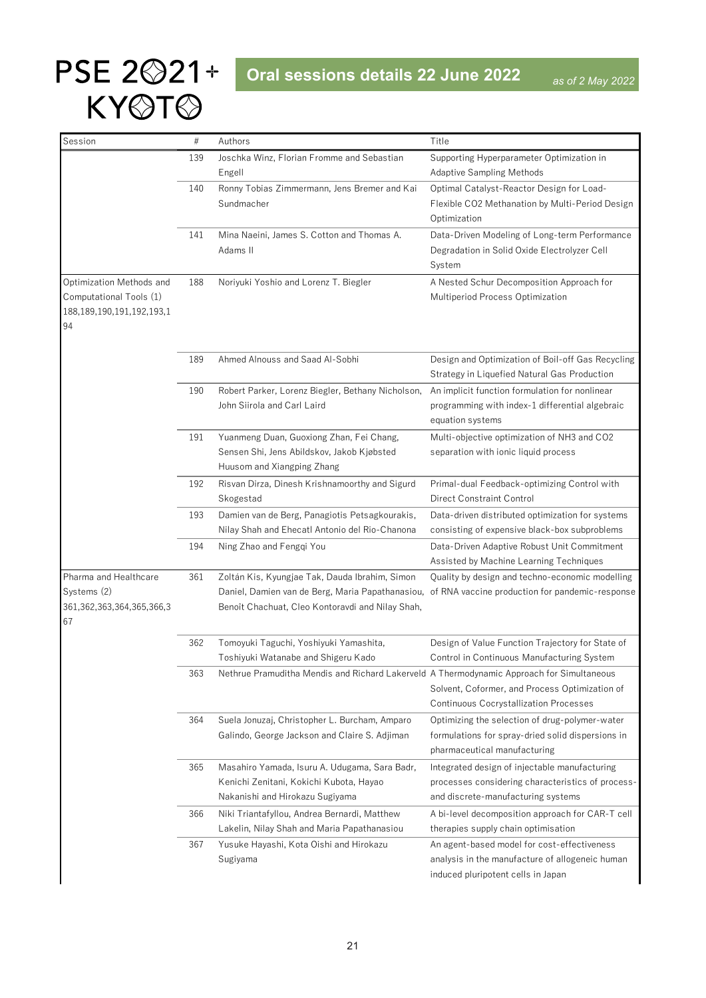# PSE 2<sup> $221+$ </sup> Oral sessions details 22 June 2022 KY@T@

| Session                               | $\#$ | Authors                                                                                          | Title                                                                                   |
|---------------------------------------|------|--------------------------------------------------------------------------------------------------|-----------------------------------------------------------------------------------------|
|                                       | 139  | Joschka Winz, Florian Fromme and Sebastian                                                       | Supporting Hyperparameter Optimization in                                               |
|                                       |      | Engell                                                                                           | <b>Adaptive Sampling Methods</b>                                                        |
|                                       | 140  | Ronny Tobias Zimmermann, Jens Bremer and Kai                                                     | Optimal Catalyst-Reactor Design for Load-                                               |
|                                       |      | Sundmacher                                                                                       | Flexible CO2 Methanation by Multi-Period Design                                         |
|                                       |      |                                                                                                  | Optimization                                                                            |
|                                       | 141  | Mina Naeini, James S. Cotton and Thomas A.                                                       | Data-Driven Modeling of Long-term Performance                                           |
|                                       |      | Adams II                                                                                         | Degradation in Solid Oxide Electrolyzer Cell                                            |
|                                       |      |                                                                                                  | System                                                                                  |
| Optimization Methods and              | 188  | Noriyuki Yoshio and Lorenz T. Biegler                                                            | A Nested Schur Decomposition Approach for                                               |
| Computational Tools (1)               |      |                                                                                                  | Multiperiod Process Optimization                                                        |
| 188, 189, 190, 191, 192, 193, 1<br>94 |      |                                                                                                  |                                                                                         |
|                                       | 189  | Ahmed Alnouss and Saad Al-Sobhi                                                                  | Design and Optimization of Boil-off Gas Recycling                                       |
|                                       |      |                                                                                                  | Strategy in Liquefied Natural Gas Production                                            |
|                                       | 190  | Robert Parker, Lorenz Biegler, Bethany Nicholson,                                                | An implicit function formulation for nonlinear                                          |
|                                       |      | John Siirola and Carl Laird                                                                      | programming with index-1 differential algebraic                                         |
|                                       |      |                                                                                                  | equation systems                                                                        |
|                                       | 191  | Yuanmeng Duan, Guoxiong Zhan, Fei Chang,                                                         | Multi-objective optimization of NH3 and CO2                                             |
|                                       |      | Sensen Shi, Jens Abildskov, Jakob Kjøbsted                                                       | separation with ionic liquid process                                                    |
|                                       |      | Huusom and Xiangping Zhang                                                                       |                                                                                         |
|                                       | 192  | Risvan Dirza, Dinesh Krishnamoorthy and Sigurd                                                   | Primal-dual Feedback-optimizing Control with                                            |
|                                       |      | Skogestad                                                                                        | <b>Direct Constraint Control</b>                                                        |
|                                       | 193  | Damien van de Berg, Panagiotis Petsagkourakis,                                                   | Data-driven distributed optimization for systems                                        |
|                                       |      | Nilay Shah and Ehecatl Antonio del Rio-Chanona                                                   | consisting of expensive black-box subproblems                                           |
|                                       | 194  | Ning Zhao and Fengqi You                                                                         | Data-Driven Adaptive Robust Unit Commitment                                             |
|                                       |      |                                                                                                  | Assisted by Machine Learning Techniques                                                 |
| Pharma and Healthcare                 | 361  | Zoltán Kis, Kyungjae Tak, Dauda Ibrahim, Simon                                                   | Quality by design and techno-economic modelling                                         |
| Systems (2)                           |      | Daniel, Damien van de Berg, Maria Papathanasiou, of RNA vaccine production for pandemic-response |                                                                                         |
| 361, 362, 363, 364, 365, 366, 3<br>67 |      | Benoît Chachuat, Cleo Kontoravdi and Nilay Shah,                                                 |                                                                                         |
|                                       |      |                                                                                                  |                                                                                         |
|                                       | 362  | Tomoyuki Taguchi, Yoshiyuki Yamashita,                                                           | Design of Value Function Trajectory for State of                                        |
|                                       |      | Toshiyuki Watanabe and Shigeru Kado                                                              | Control in Continuous Manufacturing System                                              |
|                                       | 363  | Nethrue Pramuditha Mendis and Richard Lakerveld A Thermodynamic Approach for Simultaneous        |                                                                                         |
|                                       |      |                                                                                                  | Solvent, Coformer, and Process Optimization of                                          |
|                                       |      |                                                                                                  | <b>Continuous Cocrystallization Processes</b>                                           |
|                                       | 364  | Suela Jonuzaj, Christopher L. Burcham, Amparo                                                    | Optimizing the selection of drug-polymer-water                                          |
|                                       |      | Galindo, George Jackson and Claire S. Adjiman                                                    | formulations for spray-dried solid dispersions in                                       |
|                                       |      |                                                                                                  | pharmaceutical manufacturing                                                            |
|                                       | 365  | Masahiro Yamada, Isuru A. Udugama, Sara Badr,                                                    | Integrated design of injectable manufacturing                                           |
|                                       |      | Kenichi Zenitani, Kokichi Kubota, Hayao                                                          | processes considering characteristics of process-                                       |
|                                       |      | Nakanishi and Hirokazu Sugiyama                                                                  | and discrete-manufacturing systems                                                      |
|                                       | 366  | Niki Triantafyllou, Andrea Bernardi, Matthew<br>Lakelin, Nilay Shah and Maria Papathanasiou      | A bi-level decomposition approach for CAR-T cell<br>therapies supply chain optimisation |
|                                       | 367  | Yusuke Hayashi, Kota Oishi and Hirokazu                                                          | An agent-based model for cost-effectiveness                                             |
|                                       |      | Sugiyama                                                                                         | analysis in the manufacture of allogeneic human                                         |
|                                       |      |                                                                                                  | induced pluripotent cells in Japan                                                      |
|                                       |      |                                                                                                  |                                                                                         |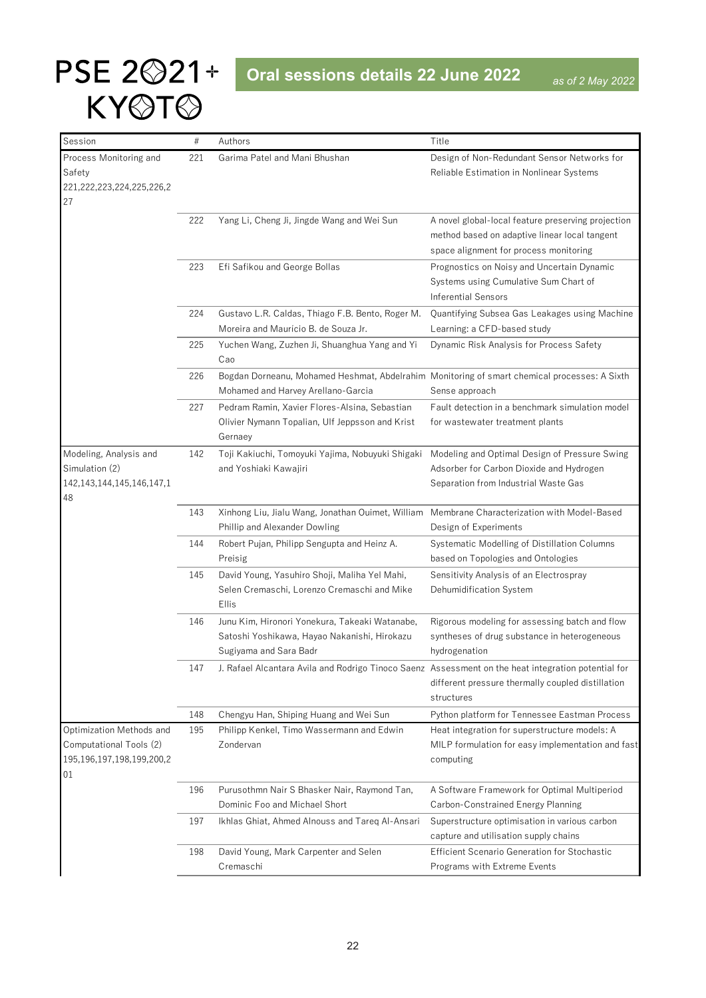| Session                         | $\#$ | Authors                                                                                             | Title                                               |
|---------------------------------|------|-----------------------------------------------------------------------------------------------------|-----------------------------------------------------|
| Process Monitoring and          | 221  | Garima Patel and Mani Bhushan                                                                       | Design of Non-Redundant Sensor Networks for         |
| Safety                          |      |                                                                                                     | Reliable Estimation in Nonlinear Systems            |
| 221,222,223,224,225,226,2       |      |                                                                                                     |                                                     |
| 27                              |      |                                                                                                     |                                                     |
|                                 | 222  | Yang Li, Cheng Ji, Jingde Wang and Wei Sun                                                          | A novel global-local feature preserving projection  |
|                                 |      |                                                                                                     | method based on adaptive linear local tangent       |
|                                 |      |                                                                                                     | space alignment for process monitoring              |
|                                 | 223  | Efi Safikou and George Bollas                                                                       | Prognostics on Noisy and Uncertain Dynamic          |
|                                 |      |                                                                                                     | Systems using Cumulative Sum Chart of               |
|                                 |      |                                                                                                     | <b>Inferential Sensors</b>                          |
|                                 | 224  | Gustavo L.R. Caldas, Thiago F.B. Bento, Roger M.                                                    | Quantifying Subsea Gas Leakages using Machine       |
|                                 |      | Moreira and Maurício B. de Souza Jr.                                                                | Learning: a CFD-based study                         |
|                                 | 225  | Yuchen Wang, Zuzhen Ji, Shuanghua Yang and Yi                                                       | Dynamic Risk Analysis for Process Safety            |
|                                 |      | Cao                                                                                                 |                                                     |
|                                 | 226  | Bogdan Dorneanu, Mohamed Heshmat, Abdelrahim Monitoring of smart chemical processes: A Sixth        |                                                     |
|                                 |      | Mohamed and Harvey Arellano-Garcia                                                                  | Sense approach                                      |
|                                 | 227  | Pedram Ramin, Xavier Flores-Alsina, Sebastian                                                       | Fault detection in a benchmark simulation model     |
|                                 |      | Olivier Nymann Topalian, Ulf Jeppsson and Krist                                                     | for wastewater treatment plants                     |
|                                 |      | Gernaey                                                                                             |                                                     |
| Modeling, Analysis and          | 142  | Toji Kakiuchi, Tomoyuki Yajima, Nobuyuki Shigaki                                                    | Modeling and Optimal Design of Pressure Swing       |
| Simulation (2)                  |      | and Yoshiaki Kawajiri                                                                               | Adsorber for Carbon Dioxide and Hydrogen            |
| 142, 143, 144, 145, 146, 147, 1 |      |                                                                                                     | Separation from Industrial Waste Gas                |
| 48                              |      |                                                                                                     |                                                     |
|                                 | 143  | Xinhong Liu, Jialu Wang, Jonathan Ouimet, William                                                   | Membrane Characterization with Model-Based          |
|                                 |      | Phillip and Alexander Dowling                                                                       | Design of Experiments                               |
|                                 | 144  | Robert Pujan, Philipp Sengupta and Heinz A.                                                         | Systematic Modelling of Distillation Columns        |
|                                 |      | Preisig                                                                                             | based on Topologies and Ontologies                  |
|                                 | 145  | David Young, Yasuhiro Shoji, Maliha Yel Mahi,                                                       | Sensitivity Analysis of an Electrospray             |
|                                 |      | Selen Cremaschi, Lorenzo Cremaschi and Mike                                                         | Dehumidification System                             |
|                                 |      | <b>Ellis</b>                                                                                        |                                                     |
|                                 | 146  | Junu Kim, Hironori Yonekura, Takeaki Watanabe,                                                      | Rigorous modeling for assessing batch and flow      |
|                                 |      | Satoshi Yoshikawa, Hayao Nakanishi, Hirokazu                                                        | syntheses of drug substance in heterogeneous        |
|                                 |      | Sugiyama and Sara Badr                                                                              | hydrogenation                                       |
|                                 | 147  | J. Rafael Alcantara Avila and Rodrigo Tinoco Saenz Assessment on the heat integration potential for |                                                     |
|                                 |      |                                                                                                     | different pressure thermally coupled distillation   |
|                                 |      |                                                                                                     | structures                                          |
|                                 | 148  | Chengyu Han, Shiping Huang and Wei Sun                                                              | Python platform for Tennessee Eastman Process       |
| Optimization Methods and        | 195  | Philipp Kenkel, Timo Wassermann and Edwin                                                           | Heat integration for superstructure models: A       |
| Computational Tools (2)         |      | Zondervan                                                                                           | MILP formulation for easy implementation and fast   |
| 195,196,197,198,199,200,2       |      |                                                                                                     | computing                                           |
| 01                              |      |                                                                                                     |                                                     |
|                                 | 196  | Purusothmn Nair S Bhasker Nair, Raymond Tan,                                                        | A Software Framework for Optimal Multiperiod        |
|                                 |      | Dominic Foo and Michael Short                                                                       | Carbon-Constrained Energy Planning                  |
|                                 | 197  | Ikhlas Ghiat, Ahmed Alnouss and Tareq Al-Ansari                                                     | Superstructure optimisation in various carbon       |
|                                 |      |                                                                                                     | capture and utilisation supply chains               |
|                                 | 198  | David Young, Mark Carpenter and Selen                                                               | <b>Efficient Scenario Generation for Stochastic</b> |
|                                 |      | Cremaschi                                                                                           | Programs with Extreme Events                        |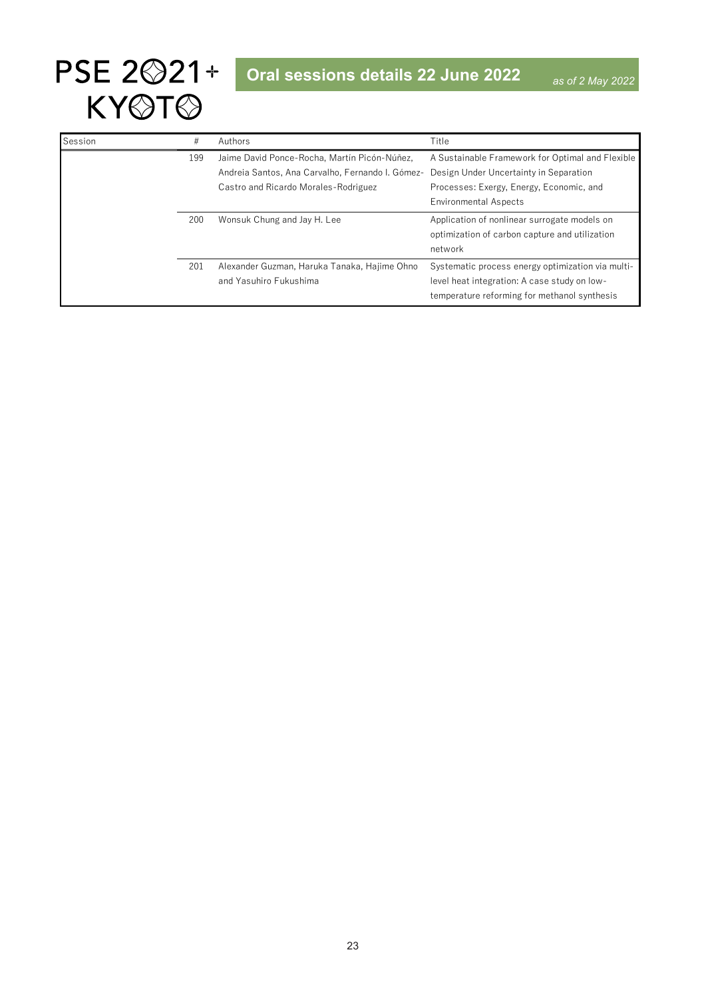

| Session | #   | Authors                                          | Title                                             |
|---------|-----|--------------------------------------------------|---------------------------------------------------|
|         | 199 | Jaime David Ponce-Rocha, Martín Picón-Núñez,     | A Sustainable Framework for Optimal and Flexible  |
|         |     | Andreia Santos, Ana Carvalho, Fernando I, Gómez- | Design Under Uncertainty in Separation            |
|         |     | Castro and Ricardo Morales-Rodriguez             | Processes: Exergy, Energy, Economic, and          |
|         |     |                                                  | <b>Environmental Aspects</b>                      |
|         | 200 | Wonsuk Chung and Jay H. Lee                      | Application of nonlinear surrogate models on      |
|         |     |                                                  | optimization of carbon capture and utilization    |
|         |     |                                                  | network                                           |
|         | 201 | Alexander Guzman, Haruka Tanaka, Hajime Ohno     | Systematic process energy optimization via multi- |
|         |     | and Yasuhiro Fukushima                           | level heat integration: A case study on low-      |
|         |     |                                                  | temperature reforming for methanol synthesis      |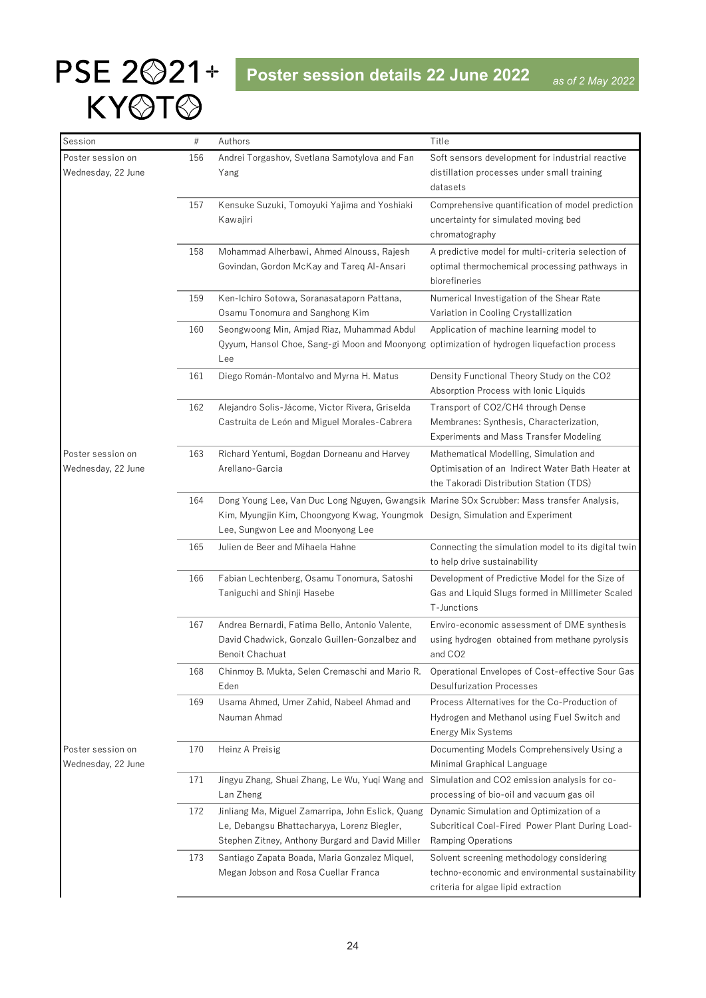<span id="page-23-0"></span>

| Session                                 | #   | Authors                                                                                                                                                                      | Title                                                                    |
|-----------------------------------------|-----|------------------------------------------------------------------------------------------------------------------------------------------------------------------------------|--------------------------------------------------------------------------|
| Poster session on                       | 156 | Andrei Torgashov, Svetlana Samotylova and Fan                                                                                                                                | Soft sensors development for industrial reactive                         |
| Wednesday, 22 June                      |     | Yang                                                                                                                                                                         | distillation processes under small training<br>datasets                  |
|                                         | 157 | Kensuke Suzuki, Tomoyuki Yajima and Yoshiaki                                                                                                                                 | Comprehensive quantification of model prediction                         |
|                                         |     | Kawajiri                                                                                                                                                                     | uncertainty for simulated moving bed                                     |
|                                         |     |                                                                                                                                                                              | chromatography                                                           |
|                                         | 158 | Mohammad Alherbawi, Ahmed Alnouss, Rajesh                                                                                                                                    | A predictive model for multi-criteria selection of                       |
|                                         |     | Govindan, Gordon McKay and Tareq Al-Ansari                                                                                                                                   | optimal thermochemical processing pathways in                            |
|                                         |     |                                                                                                                                                                              | biorefineries                                                            |
|                                         | 159 | Ken-Ichiro Sotowa, Soranasataporn Pattana,                                                                                                                                   | Numerical Investigation of the Shear Rate                                |
|                                         |     | Osamu Tonomura and Sanghong Kim                                                                                                                                              | Variation in Cooling Crystallization                                     |
|                                         | 160 | Seongwoong Min, Amjad Riaz, Muhammad Abdul                                                                                                                                   | Application of machine learning model to                                 |
|                                         |     | Qyyum, Hansol Choe, Sang-gi Moon and Moonyong optimization of hydrogen liquefaction process<br>Lee                                                                           |                                                                          |
|                                         | 161 | Diego Román-Montalvo and Myrna H. Matus                                                                                                                                      | Density Functional Theory Study on the CO2                               |
|                                         |     |                                                                                                                                                                              | Absorption Process with Ionic Liquids                                    |
|                                         | 162 | Alejandro Solis-Jácome, Victor Rivera, Griselda                                                                                                                              | Transport of CO2/CH4 through Dense                                       |
|                                         |     | Castruita de León and Miguel Morales-Cabrera                                                                                                                                 | Membranes: Synthesis, Characterization,                                  |
|                                         |     |                                                                                                                                                                              | <b>Experiments and Mass Transfer Modeling</b>                            |
| Poster session on                       | 163 | Richard Yentumi, Bogdan Dorneanu and Harvey                                                                                                                                  | Mathematical Modelling, Simulation and                                   |
| Wednesday, 22 June                      |     | Arellano-Garcia                                                                                                                                                              | Optimisation of an Indirect Water Bath Heater at                         |
|                                         |     |                                                                                                                                                                              | the Takoradi Distribution Station (TDS)                                  |
|                                         | 164 | Dong Young Lee, Van Duc Long Nguyen, Gwangsik Marine SOx Scrubber: Mass transfer Analysis,<br>Kim, Myungjin Kim, Choongyong Kwag, Youngmok Design, Simulation and Experiment |                                                                          |
|                                         |     | Lee, Sungwon Lee and Moonyong Lee                                                                                                                                            |                                                                          |
|                                         | 165 | Julien de Beer and Mihaela Hahne                                                                                                                                             | Connecting the simulation model to its digital twin                      |
|                                         |     |                                                                                                                                                                              | to help drive sustainability                                             |
|                                         | 166 | Fabian Lechtenberg, Osamu Tonomura, Satoshi                                                                                                                                  | Development of Predictive Model for the Size of                          |
|                                         |     | Taniguchi and Shinji Hasebe                                                                                                                                                  | Gas and Liquid Slugs formed in Millimeter Scaled                         |
|                                         |     |                                                                                                                                                                              | T-Junctions                                                              |
|                                         | 167 | Andrea Bernardi, Fatima Bello, Antonio Valente,                                                                                                                              | Enviro-economic assessment of DME synthesis                              |
|                                         |     | David Chadwick, Gonzalo Guillen-Gonzalbez and                                                                                                                                | using hydrogen obtained from methane pyrolysis                           |
|                                         |     | Benoit Chachuat                                                                                                                                                              | and CO <sub>2</sub>                                                      |
|                                         | 168 | Chinmoy B. Mukta, Selen Cremaschi and Mario R. Operational Envelopes of Cost-effective Sour Gas                                                                              |                                                                          |
|                                         |     | Eden                                                                                                                                                                         | <b>Desulfurization Processes</b>                                         |
|                                         | 169 | Usama Ahmed, Umer Zahid, Nabeel Ahmad and                                                                                                                                    | Process Alternatives for the Co-Production of                            |
|                                         |     | Nauman Ahmad                                                                                                                                                                 | Hydrogen and Methanol using Fuel Switch and<br>Energy Mix Systems        |
|                                         |     |                                                                                                                                                                              |                                                                          |
| Poster session on<br>Wednesday, 22 June | 170 | Heinz A Preisig                                                                                                                                                              | Documenting Models Comprehensively Using a<br>Minimal Graphical Language |
|                                         | 171 | Jingyu Zhang, Shuai Zhang, Le Wu, Yuqi Wang and                                                                                                                              | Simulation and CO2 emission analysis for co-                             |
|                                         |     | Lan Zheng                                                                                                                                                                    | processing of bio-oil and vacuum gas oil                                 |
|                                         | 172 | Jinliang Ma, Miguel Zamarripa, John Eslick, Quang                                                                                                                            | Dynamic Simulation and Optimization of a                                 |
|                                         |     | Le, Debangsu Bhattacharyya, Lorenz Biegler,                                                                                                                                  | Subcritical Coal-Fired Power Plant During Load-                          |
|                                         |     | Stephen Zitney, Anthony Burgard and David Miller                                                                                                                             | Ramping Operations                                                       |
|                                         | 173 | Santiago Zapata Boada, Maria Gonzalez Miquel,                                                                                                                                | Solvent screening methodology considering                                |
|                                         |     | Megan Jobson and Rosa Cuellar Franca                                                                                                                                         | techno-economic and environmental sustainability                         |
|                                         |     |                                                                                                                                                                              | criteria for algae lipid extraction                                      |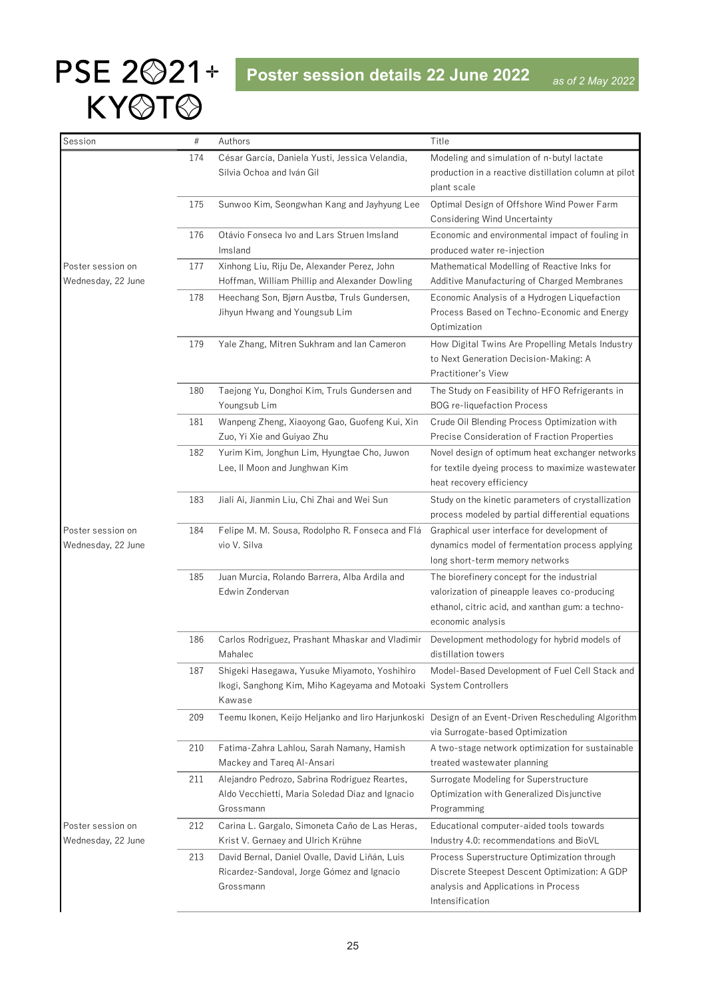| Session                                 | $\#$ | Authors                                                                                                                     | Title                                                                                                                                                                |
|-----------------------------------------|------|-----------------------------------------------------------------------------------------------------------------------------|----------------------------------------------------------------------------------------------------------------------------------------------------------------------|
|                                         | 174  | César García, Daniela Yusti, Jessica Velandia,                                                                              | Modeling and simulation of n-butyl lactate                                                                                                                           |
|                                         |      | Silvia Ochoa and Iván Gil                                                                                                   | production in a reactive distillation column at pilot<br>plant scale                                                                                                 |
|                                         | 175  | Sunwoo Kim, Seongwhan Kang and Jayhyung Lee                                                                                 | Optimal Design of Offshore Wind Power Farm<br><b>Considering Wind Uncertainty</b>                                                                                    |
|                                         | 176  | Otávio Fonseca Ivo and Lars Struen Imsland<br>Imsland                                                                       | Economic and environmental impact of fouling in<br>produced water re-injection                                                                                       |
| Poster session on<br>Wednesday, 22 June | 177  | Xinhong Liu, Riju De, Alexander Perez, John<br>Hoffman, William Phillip and Alexander Dowling                               | Mathematical Modelling of Reactive Inks for<br>Additive Manufacturing of Charged Membranes                                                                           |
|                                         | 178  | Heechang Son, Bjørn Austbø, Truls Gundersen,<br>Jihyun Hwang and Youngsub Lim                                               | Economic Analysis of a Hydrogen Liquefaction<br>Process Based on Techno-Economic and Energy<br>Optimization                                                          |
|                                         | 179  | Yale Zhang, Mitren Sukhram and Ian Cameron                                                                                  | How Digital Twins Are Propelling Metals Industry<br>to Next Generation Decision-Making: A<br>Practitioner's View                                                     |
|                                         | 180  | Taejong Yu, Donghoi Kim, Truls Gundersen and<br>Youngsub Lim                                                                | The Study on Feasibility of HFO Refrigerants in<br><b>BOG</b> re-liquefaction Process                                                                                |
|                                         | 181  | Wanpeng Zheng, Xiaoyong Gao, Guofeng Kui, Xin<br>Zuo, Yi Xie and Guiyao Zhu                                                 | Crude Oil Blending Process Optimization with<br>Precise Consideration of Fraction Properties                                                                         |
|                                         | 182  | Yurim Kim, Jonghun Lim, Hyungtae Cho, Juwon<br>Lee, II Moon and Junghwan Kim                                                | Novel design of optimum heat exchanger networks<br>for textile dyeing process to maximize wastewater<br>heat recovery efficiency                                     |
|                                         | 183  | Jiali Ai, Jianmin Liu, Chi Zhai and Wei Sun                                                                                 | Study on the kinetic parameters of crystallization<br>process modeled by partial differential equations                                                              |
| Poster session on<br>Wednesday, 22 June | 184  | Felipe M. M. Sousa, Rodolpho R. Fonseca and Flá<br>vio V. Silva                                                             | Graphical user interface for development of<br>dynamics model of fermentation process applying<br>long short-term memory networks                                    |
|                                         | 185  | Juan Murcia, Rolando Barrera, Alba Ardila and<br>Edwin Zondervan                                                            | The biorefinery concept for the industrial<br>valorization of pineapple leaves co-producing<br>ethanol, citric acid, and xanthan gum: a techno-<br>economic analysis |
|                                         | 186  | Carlos Rodriguez, Prashant Mhaskar and Vladimir<br>Mahalec                                                                  | Development methodology for hybrid models of<br>distillation towers                                                                                                  |
|                                         | 187  | Shigeki Hasegawa, Yusuke Miyamoto, Yoshihiro<br>Ikogi, Sanghong Kim, Miho Kageyama and Motoaki System Controllers<br>Kawase | Model-Based Development of Fuel Cell Stack and                                                                                                                       |
|                                         | 209  |                                                                                                                             | Teemu Ikonen, Keijo Heljanko and liro Harjunkoski Design of an Event-Driven Rescheduling Algorithm<br>via Surrogate-based Optimization                               |
|                                         | 210  | Fatima-Zahra Lahlou, Sarah Namany, Hamish<br>Mackey and Tareq Al-Ansari                                                     | A two-stage network optimization for sustainable<br>treated wastewater planning                                                                                      |
|                                         | 211  | Alejandro Pedrozo, Sabrina Rodriguez Reartes,<br>Aldo Vecchietti, Maria Soledad Diaz and Ignacio<br>Grossmann               | Surrogate Modeling for Superstructure<br>Optimization with Generalized Disjunctive<br>Programming                                                                    |
| Poster session on<br>Wednesday, 22 June | 212  | Carina L. Gargalo, Simoneta Caño de Las Heras,<br>Krist V. Gernaey and Ulrich Krühne                                        | Educational computer-aided tools towards<br>Industry 4.0: recommendations and BioVL                                                                                  |
|                                         | 213  | David Bernal, Daniel Ovalle, David Liñán, Luis<br>Ricardez-Sandoval, Jorge Gómez and Ignacio<br>Grossmann                   | Process Superstructure Optimization through<br>Discrete Steepest Descent Optimization: A GDP<br>analysis and Applications in Process<br>Intensification              |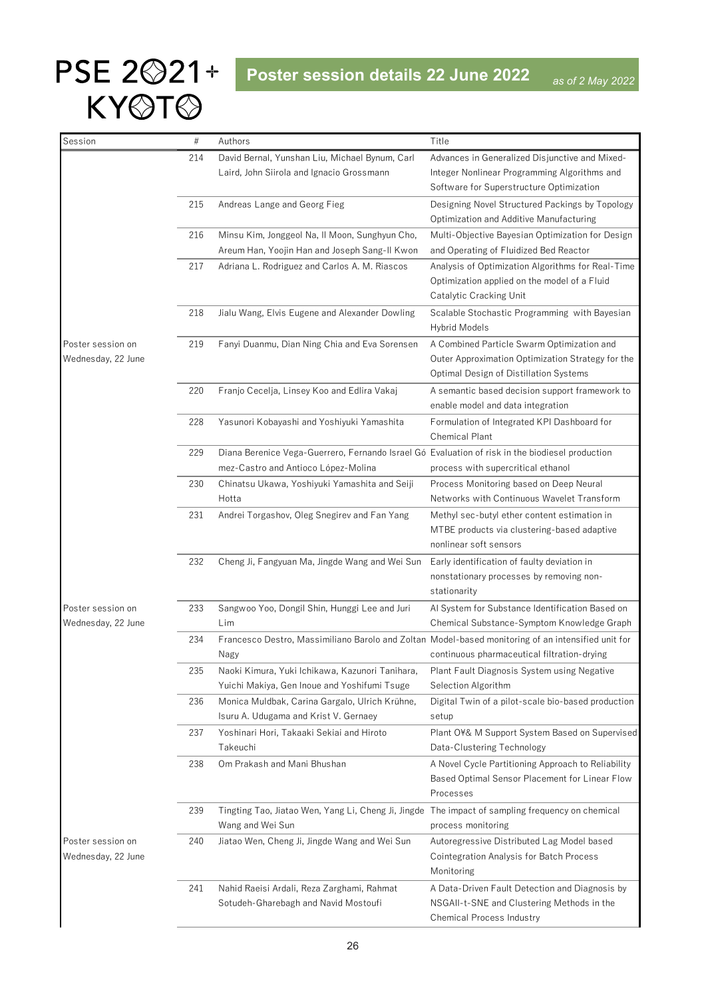| Session                                 | $\#$ | Authors                                                                                                                                | Title                                                                                                                                     |
|-----------------------------------------|------|----------------------------------------------------------------------------------------------------------------------------------------|-------------------------------------------------------------------------------------------------------------------------------------------|
|                                         | 214  | David Bernal, Yunshan Liu, Michael Bynum, Carl                                                                                         | Advances in Generalized Disjunctive and Mixed-                                                                                            |
|                                         |      | Laird, John Siirola and Ignacio Grossmann                                                                                              | Integer Nonlinear Programming Algorithms and                                                                                              |
|                                         |      |                                                                                                                                        | Software for Superstructure Optimization                                                                                                  |
|                                         | 215  | Andreas Lange and Georg Fieg                                                                                                           | Designing Novel Structured Packings by Topology<br>Optimization and Additive Manufacturing                                                |
|                                         | 216  | Minsu Kim, Jonggeol Na, Il Moon, Sunghyun Cho,<br>Areum Han, Yoojin Han and Joseph Sang-II Kwon                                        | Multi-Objective Bayesian Optimization for Design<br>and Operating of Fluidized Bed Reactor                                                |
|                                         | 217  | Adriana L. Rodriguez and Carlos A. M. Riascos                                                                                          | Analysis of Optimization Algorithms for Real-Time<br>Optimization applied on the model of a Fluid<br>Catalytic Cracking Unit              |
|                                         | 218  | Jialu Wang, Elvis Eugene and Alexander Dowling                                                                                         | Scalable Stochastic Programming with Bayesian<br><b>Hybrid Models</b>                                                                     |
| Poster session on<br>Wednesday, 22 June | 219  | Fanyi Duanmu, Dian Ning Chia and Eva Sorensen                                                                                          | A Combined Particle Swarm Optimization and<br>Outer Approximation Optimization Strategy for the<br>Optimal Design of Distillation Systems |
|                                         | 220  | Franjo Cecelja, Linsey Koo and Edlira Vakaj                                                                                            | A semantic based decision support framework to<br>enable model and data integration                                                       |
|                                         | 228  | Yasunori Kobayashi and Yoshiyuki Yamashita                                                                                             | Formulation of Integrated KPI Dashboard for<br>Chemical Plant                                                                             |
|                                         | 229  | Diana Berenice Vega-Guerrero, Fernando Israel Gó Evaluation of risk in the biodiesel production<br>mez-Castro and Antioco López-Molina | process with supercritical ethanol                                                                                                        |
|                                         | 230  | Chinatsu Ukawa, Yoshiyuki Yamashita and Seiji<br>Hotta                                                                                 | Process Monitoring based on Deep Neural<br>Networks with Continuous Wavelet Transform                                                     |
|                                         | 231  | Andrei Torgashov, Oleg Snegirev and Fan Yang                                                                                           | Methyl sec-butyl ether content estimation in<br>MTBE products via clustering-based adaptive<br>nonlinear soft sensors                     |
|                                         | 232  | Cheng Ji, Fangyuan Ma, Jingde Wang and Wei Sun                                                                                         | Early identification of faulty deviation in<br>nonstationary processes by removing non-<br>stationarity                                   |
| Poster session on<br>Wednesday, 22 June | 233  | Sangwoo Yoo, Dongil Shin, Hunggi Lee and Juri<br>Lim                                                                                   | Al System for Substance Identification Based on<br>Chemical Substance-Symptom Knowledge Graph                                             |
|                                         | 234  | Francesco Destro, Massimiliano Barolo and Zoltan Model-based monitoring of an intensified unit for<br>Nagy                             | continuous pharmaceutical filtration-drying                                                                                               |
|                                         | 235  | Naoki Kimura, Yuki Ichikawa, Kazunori Tanihara,<br>Yuichi Makiya, Gen Inoue and Yoshifumi Tsuge                                        | Plant Fault Diagnosis System using Negative<br>Selection Algorithm                                                                        |
|                                         | 236  | Monica Muldbak, Carina Gargalo, Ulrich Krühne,<br>Isuru A. Udugama and Krist V. Gernaey                                                | Digital Twin of a pilot-scale bio-based production<br>setup                                                                               |
|                                         | 237  | Yoshinari Hori, Takaaki Sekiai and Hiroto<br>Takeuchi                                                                                  | Plant O¥& M Support System Based on Supervised<br>Data-Clustering Technology                                                              |
|                                         | 238  | Om Prakash and Mani Bhushan                                                                                                            | A Novel Cycle Partitioning Approach to Reliability<br>Based Optimal Sensor Placement for Linear Flow<br>Processes                         |
|                                         | 239  | Tingting Tao, Jiatao Wen, Yang Li, Cheng Ji, Jingde<br>Wang and Wei Sun                                                                | The impact of sampling frequency on chemical<br>process monitoring                                                                        |
| Poster session on<br>Wednesday, 22 June | 240  | Jiatao Wen, Cheng Ji, Jingde Wang and Wei Sun                                                                                          | Autoregressive Distributed Lag Model based<br>Cointegration Analysis for Batch Process<br>Monitoring                                      |
|                                         | 241  | Nahid Raeisi Ardali, Reza Zarghami, Rahmat<br>Sotudeh-Gharebagh and Navid Mostoufi                                                     | A Data-Driven Fault Detection and Diagnosis by<br>NSGAII-t-SNE and Clustering Methods in the<br>Chemical Process Industry                 |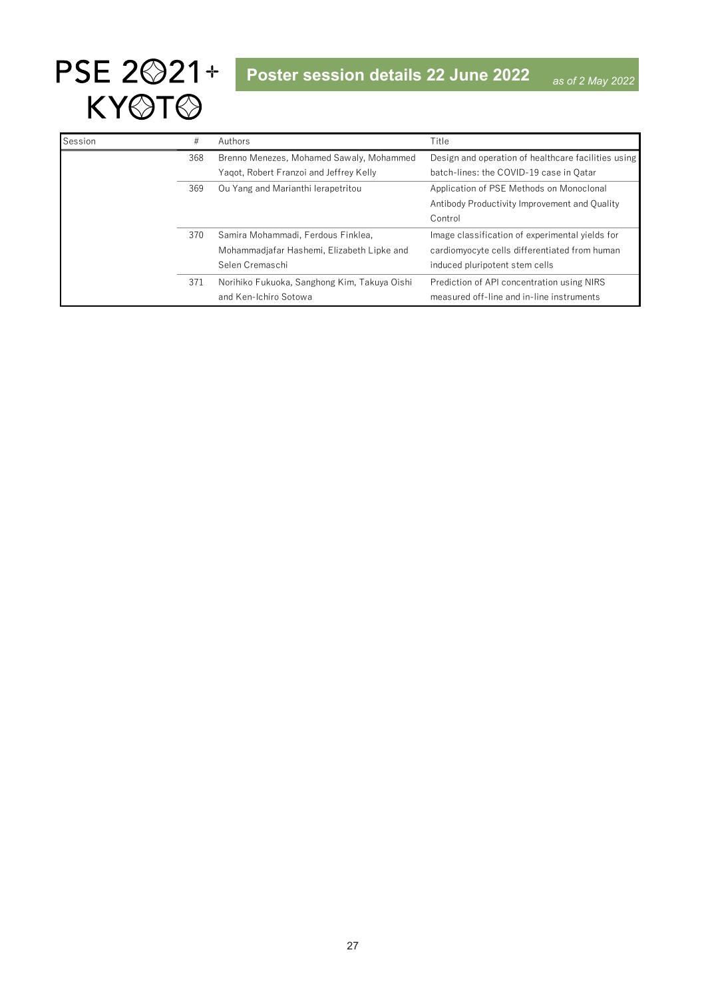| Session | #   | Authors                                      | Title                                               |
|---------|-----|----------------------------------------------|-----------------------------------------------------|
|         | 368 | Brenno Menezes, Mohamed Sawaly, Mohammed     | Design and operation of healthcare facilities using |
|         |     | Yagot, Robert Franzoi and Jeffrey Kelly      | batch-lines: the COVID-19 case in Qatar             |
|         | 369 | Ou Yang and Marianthi Ierapetritou           | Application of PSE Methods on Monoclonal            |
|         |     |                                              | Antibody Productivity Improvement and Quality       |
|         |     |                                              | Control                                             |
|         | 370 | Samira Mohammadi, Ferdous Finklea,           | Image classification of experimental yields for     |
|         |     | Mohammadjafar Hashemi, Elizabeth Lipke and   | cardiomyocyte cells differentiated from human       |
|         |     | Selen Cremaschi                              | induced pluripotent stem cells                      |
|         | 371 | Norihiko Fukuoka, Sanghong Kim, Takuya Oishi | Prediction of API concentration using NIRS          |
|         |     | and Ken-Ichiro Sotowa                        | measured off-line and in-line instruments           |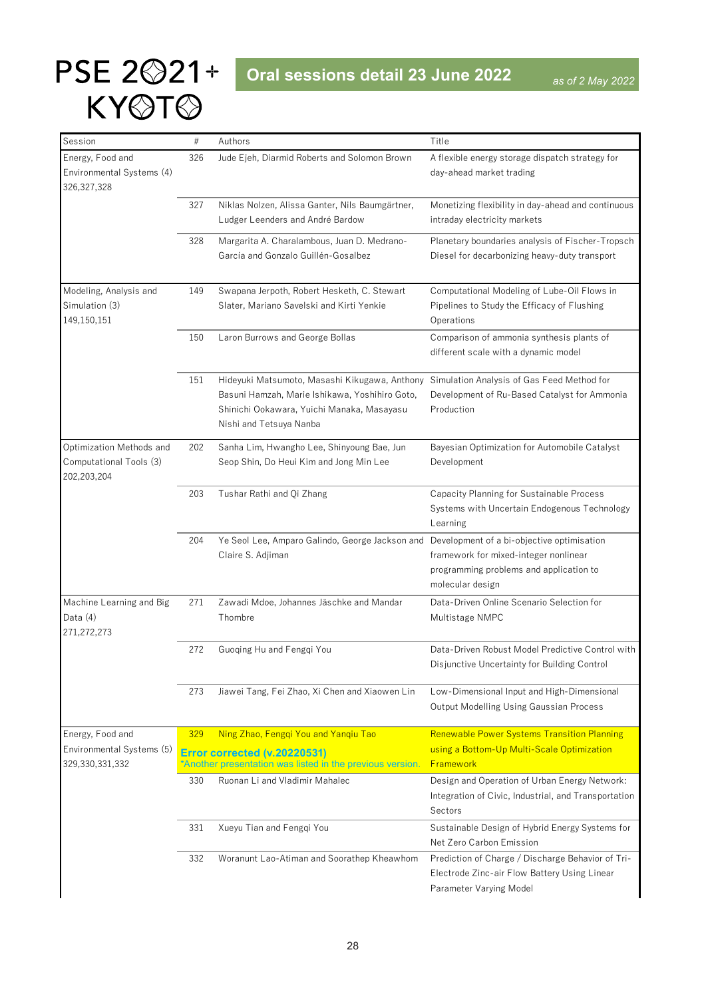### <span id="page-27-0"></span>PSE 2<sup> $221+$ </sup> Oral sessions detail 23 June 2022 KYOTO

| Session                   | $\#$ | Authors                                                                                    | Title                                                                            |
|---------------------------|------|--------------------------------------------------------------------------------------------|----------------------------------------------------------------------------------|
| Energy, Food and          | 326  | Jude Ejeh, Diarmid Roberts and Solomon Brown                                               | A flexible energy storage dispatch strategy for                                  |
| Environmental Systems (4) |      |                                                                                            | day-ahead market trading                                                         |
| 326, 327, 328             |      |                                                                                            |                                                                                  |
|                           | 327  | Niklas Nolzen, Alissa Ganter, Nils Baumgärtner,                                            | Monetizing flexibility in day-ahead and continuous                               |
|                           |      | Ludger Leenders and André Bardow                                                           | intraday electricity markets                                                     |
|                           | 328  | Margarita A. Charalambous, Juan D. Medrano-                                                | Planetary boundaries analysis of Fischer-Tropsch                                 |
|                           |      | García and Gonzalo Guillén-Gosalbez                                                        | Diesel for decarbonizing heavy-duty transport                                    |
|                           |      |                                                                                            |                                                                                  |
| Modeling, Analysis and    | 149  | Swapana Jerpoth, Robert Hesketh, C. Stewart                                                | Computational Modeling of Lube-Oil Flows in                                      |
| Simulation (3)            |      | Slater, Mariano Savelski and Kirti Yenkie                                                  | Pipelines to Study the Efficacy of Flushing                                      |
| 149,150,151               |      |                                                                                            | Operations                                                                       |
|                           | 150  | Laron Burrows and George Bollas                                                            | Comparison of ammonia synthesis plants of                                        |
|                           |      |                                                                                            | different scale with a dynamic model                                             |
|                           |      |                                                                                            |                                                                                  |
|                           | 151  | Hideyuki Matsumoto, Masashi Kikugawa, Anthony                                              | Simulation Analysis of Gas Feed Method for                                       |
|                           |      | Basuni Hamzah, Marie Ishikawa, Yoshihiro Goto,                                             | Development of Ru-Based Catalyst for Ammonia                                     |
|                           |      | Shinichi Ookawara, Yuichi Manaka, Masayasu<br>Nishi and Tetsuya Nanba                      | Production                                                                       |
|                           |      |                                                                                            |                                                                                  |
| Optimization Methods and  | 202  | Sanha Lim, Hwangho Lee, Shinyoung Bae, Jun                                                 | Bayesian Optimization for Automobile Catalyst                                    |
| Computational Tools (3)   |      | Seop Shin, Do Heui Kim and Jong Min Lee                                                    | Development                                                                      |
| 202,203,204               |      |                                                                                            |                                                                                  |
|                           | 203  | Tushar Rathi and Qi Zhang                                                                  | Capacity Planning for Sustainable Process                                        |
|                           |      |                                                                                            | Systems with Uncertain Endogenous Technology                                     |
|                           |      |                                                                                            | Learning                                                                         |
|                           | 204  | Ye Seol Lee, Amparo Galindo, George Jackson and Development of a bi-objective optimisation |                                                                                  |
|                           |      | Claire S. Adjiman                                                                          | framework for mixed-integer nonlinear<br>programming problems and application to |
|                           |      |                                                                                            | molecular design                                                                 |
| Machine Learning and Big  | 271  | Zawadi Mdoe, Johannes Jäschke and Mandar                                                   | Data-Driven Online Scenario Selection for                                        |
| Data $(4)$                |      | Thombre                                                                                    | Multistage NMPC                                                                  |
| 271,272,273               |      |                                                                                            |                                                                                  |
|                           | 272  | Guoqing Hu and Fengqi You                                                                  | Data-Driven Robust Model Predictive Control with                                 |
|                           |      |                                                                                            | Disjunctive Uncertainty for Building Control                                     |
|                           |      |                                                                                            |                                                                                  |
|                           | 273  | Jiawei Tang, Fei Zhao, Xi Chen and Xiaowen Lin                                             | Low-Dimensional Input and High-Dimensional                                       |
|                           |      |                                                                                            | <b>Output Modelling Using Gaussian Process</b>                                   |
| Energy, Food and          | 329  | Ning Zhao, Fengqi You and Yanqiu Tao                                                       | Renewable Power Systems Transition Planning                                      |
| Environmental Systems (5) |      |                                                                                            | using a Bottom-Up Multi-Scale Optimization                                       |
| 329,330,331,332           |      | Error corrected (v.20220531)<br>*Another presentation was listed in the previous version.  | <b>Framework</b>                                                                 |
|                           | 330  | Ruonan Li and Vladimir Mahalec                                                             | Design and Operation of Urban Energy Network:                                    |
|                           |      |                                                                                            | Integration of Civic, Industrial, and Transportation                             |
|                           |      |                                                                                            | Sectors                                                                          |
|                           | 331  | Xueyu Tian and Fengqi You                                                                  | Sustainable Design of Hybrid Energy Systems for                                  |
|                           |      |                                                                                            | Net Zero Carbon Emission                                                         |
|                           | 332  | Woranunt Lao-Atiman and Soorathep Kheawhom                                                 | Prediction of Charge / Discharge Behavior of Tri-                                |
|                           |      |                                                                                            | Electrode Zinc-air Flow Battery Using Linear                                     |
|                           |      |                                                                                            | Parameter Varying Model                                                          |